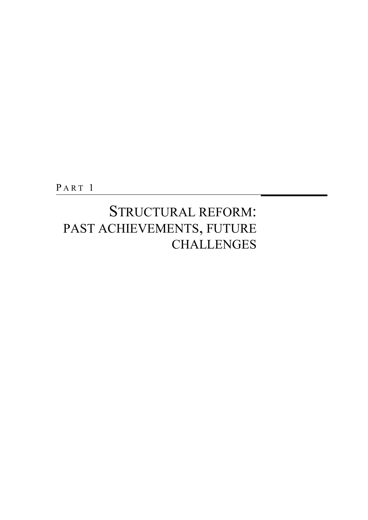PART 1

# STRUCTURAL REFORM: PAST ACHIEVEMENTS, FUTURE **CHALLENGES**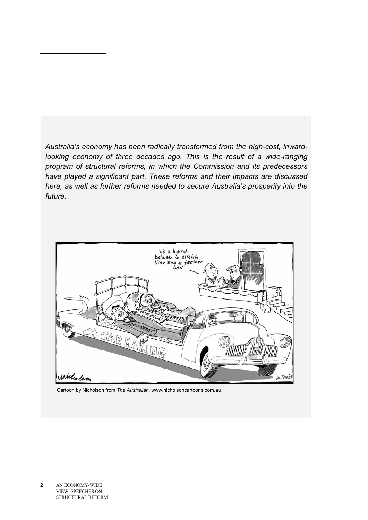*Australia's economy has been radically transformed from the high-cost, inwardlooking economy of three decades ago. This is the result of a wide-ranging program of structural reforms, in which the Commission and its predecessors have played a significant part. These reforms and their impacts are discussed here, as well as further reforms needed to secure Australia's prosperity into the future.* 

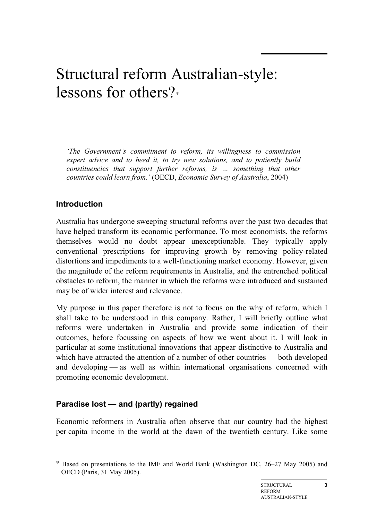# Structural reform Australian-style: lessons for others?<sup>∗</sup>

*'The Government's commitment to reform, its willingness to commission expert advice and to heed it, to try new solutions, and to patiently build constituencies that support further reforms, is … something that other countries could learn from.'* (OECD, *Economic Survey of Australia*, 2004)

#### **Introduction**

 $\overline{a}$ 

Australia has undergone sweeping structural reforms over the past two decades that have helped transform its economic performance. To most economists, the reforms themselves would no doubt appear unexceptionable. They typically apply conventional prescriptions for improving growth by removing policy-related distortions and impediments to a well-functioning market economy. However, given the magnitude of the reform requirements in Australia, and the entrenched political obstacles to reform, the manner in which the reforms were introduced and sustained may be of wider interest and relevance.

My purpose in this paper therefore is not to focus on the why of reform, which I shall take to be understood in this company. Rather, I will briefly outline what reforms were undertaken in Australia and provide some indication of their outcomes, before focussing on aspects of how we went about it. I will look in particular at some institutional innovations that appear distinctive to Australia and which have attracted the attention of a number of other countries — both developed and developing — as well as within international organisations concerned with promoting economic development.

## **Paradise lost — and (partly) regained**

Economic reformers in Australia often observe that our country had the highest per capita income in the world at the dawn of the twentieth century. Like some

**3**

<sup>∗</sup> Based on presentations to the IMF and World Bank (Washington DC, 26–27 May 2005) and OECD (Paris, 31 May 2005).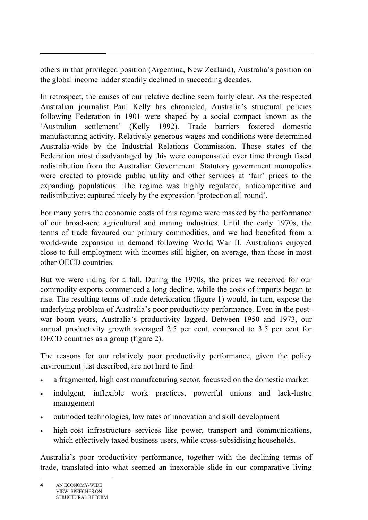others in that privileged position (Argentina, New Zealand), Australia's position on the global income ladder steadily declined in succeeding decades.

In retrospect, the causes of our relative decline seem fairly clear. As the respected Australian journalist Paul Kelly has chronicled, Australia's structural policies following Federation in 1901 were shaped by a social compact known as the 'Australian settlement' (Kelly 1992). Trade barriers fostered domestic manufacturing activity. Relatively generous wages and conditions were determined Australia-wide by the Industrial Relations Commission. Those states of the Federation most disadvantaged by this were compensated over time through fiscal redistribution from the Australian Government. Statutory government monopolies were created to provide public utility and other services at 'fair' prices to the expanding populations. The regime was highly regulated, anticompetitive and redistributive: captured nicely by the expression 'protection all round'.

For many years the economic costs of this regime were masked by the performance of our broad-acre agricultural and mining industries. Until the early 1970s, the terms of trade favoured our primary commodities, and we had benefited from a world-wide expansion in demand following World War II. Australians enjoyed close to full employment with incomes still higher, on average, than those in most other OECD countries.

But we were riding for a fall. During the 1970s, the prices we received for our commodity exports commenced a long decline, while the costs of imports began to rise. The resulting terms of trade deterioration (figure 1) would, in turn, expose the underlying problem of Australia's poor productivity performance. Even in the postwar boom years, Australia's productivity lagged. Between 1950 and 1973, our annual productivity growth averaged 2.5 per cent, compared to 3.5 per cent for OECD countries as a group (figure 2).

The reasons for our relatively poor productivity performance, given the policy environment just described, are not hard to find:

- a fragmented, high cost manufacturing sector, focussed on the domestic market
- indulgent, inflexible work practices, powerful unions and lack-lustre management
- outmoded technologies, low rates of innovation and skill development
- high-cost infrastructure services like power, transport and communications, which effectively taxed business users, while cross-subsidising households.

Australia's poor productivity performance, together with the declining terms of trade, translated into what seemed an inexorable slide in our comparative living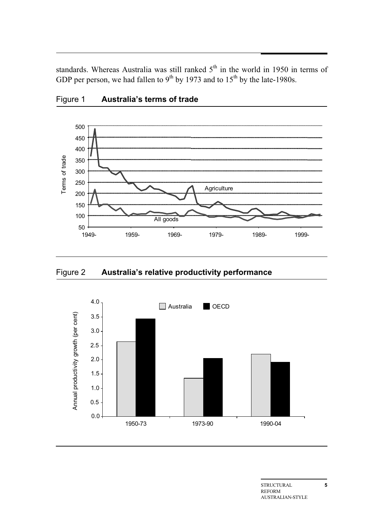standards. Whereas Australia was still ranked  $5<sup>th</sup>$  in the world in 1950 in terms of GDP per person, we had fallen to  $9<sup>th</sup>$  by 1973 and to  $15<sup>th</sup>$  by the late-1980s.



Figure 1 **Australia's terms of trade** 



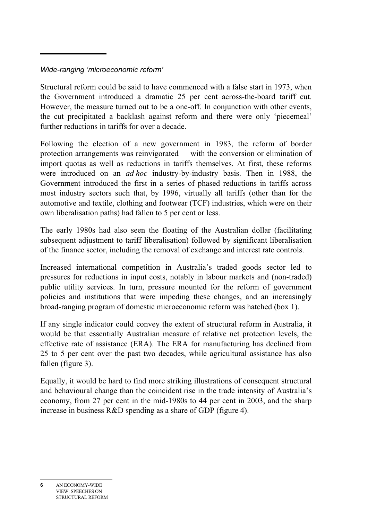## *Wide-ranging 'microeconomic reform'*

Structural reform could be said to have commenced with a false start in 1973, when the Government introduced a dramatic 25 per cent across-the-board tariff cut. However, the measure turned out to be a one-off. In conjunction with other events, the cut precipitated a backlash against reform and there were only 'piecemeal' further reductions in tariffs for over a decade.

Following the election of a new government in 1983, the reform of border protection arrangements was reinvigorated — with the conversion or elimination of import quotas as well as reductions in tariffs themselves. At first, these reforms were introduced on an *ad hoc* industry-by-industry basis. Then in 1988, the Government introduced the first in a series of phased reductions in tariffs across most industry sectors such that, by 1996, virtually all tariffs (other than for the automotive and textile, clothing and footwear (TCF) industries, which were on their own liberalisation paths) had fallen to 5 per cent or less.

The early 1980s had also seen the floating of the Australian dollar (facilitating subsequent adjustment to tariff liberalisation) followed by significant liberalisation of the finance sector, including the removal of exchange and interest rate controls.

Increased international competition in Australia's traded goods sector led to pressures for reductions in input costs, notably in labour markets and (non-traded) public utility services. In turn, pressure mounted for the reform of government policies and institutions that were impeding these changes, and an increasingly broad-ranging program of domestic microeconomic reform was hatched (box 1).

If any single indicator could convey the extent of structural reform in Australia, it would be that essentially Australian measure of relative net protection levels, the effective rate of assistance (ERA). The ERA for manufacturing has declined from 25 to 5 per cent over the past two decades, while agricultural assistance has also fallen (figure 3).

Equally, it would be hard to find more striking illustrations of consequent structural and behavioural change than the coincident rise in the trade intensity of Australia's economy, from 27 per cent in the mid-1980s to 44 per cent in 2003, and the sharp increase in business R&D spending as a share of GDP (figure 4).

**<sup>6</sup>** AN ECONOMY-WIDE VIEW: SPEECHES ON STRUCTURAL REFORM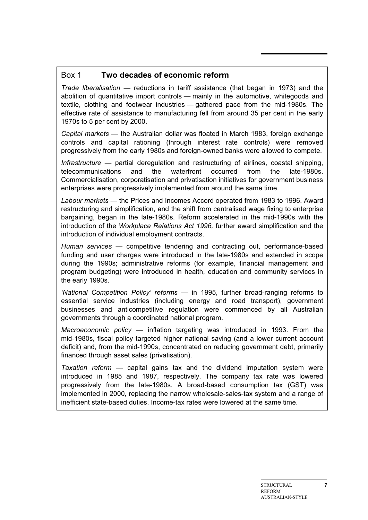## Box 1 **Two decades of economic reform**

*Trade liberalisation* — reductions in tariff assistance (that began in 1973) and the abolition of quantitative import controls — mainly in the automotive, whitegoods and textile, clothing and footwear industries — gathered pace from the mid-1980s. The effective rate of assistance to manufacturing fell from around 35 per cent in the early 1970s to 5 per cent by 2000.

*Capital markets* — the Australian dollar was floated in March 1983, foreign exchange controls and capital rationing (through interest rate controls) were removed progressively from the early 1980s and foreign-owned banks were allowed to compete.

*Infrastructure* — partial deregulation and restructuring of airlines, coastal shipping, telecommunications and the waterfront occurred from the late-1980s. Commercialisation, corporatisation and privatisation initiatives for government business enterprises were progressively implemented from around the same time.

*Labour markets* — the Prices and Incomes Accord operated from 1983 to 1996. Award restructuring and simplification, and the shift from centralised wage fixing to enterprise bargaining, began in the late-1980s. Reform accelerated in the mid-1990s with the introduction of the *Workplace Relations Act 1996,* further award simplification and the introduction of individual employment contracts.

*Human services* — competitive tendering and contracting out, performance-based funding and user charges were introduced in the late-1980s and extended in scope during the 1990s; administrative reforms (for example, financial management and program budgeting) were introduced in health, education and community services in the early 1990s.

*'National Competition Policy' reforms* — in 1995, further broad-ranging reforms to essential service industries (including energy and road transport), government businesses and anticompetitive regulation were commenced by all Australian governments through a coordinated national program.

*Macroeconomic policy* — inflation targeting was introduced in 1993. From the mid-1980s, fiscal policy targeted higher national saving (and a lower current account deficit) and, from the mid-1990s, concentrated on reducing government debt, primarily financed through asset sales (privatisation).

*Taxation reform* — capital gains tax and the dividend imputation system were introduced in 1985 and 1987, respectively. The company tax rate was lowered progressively from the late-1980s. A broad-based consumption tax (GST) was implemented in 2000, replacing the narrow wholesale-sales-tax system and a range of inefficient state-based duties. Income-tax rates were lowered at the same time.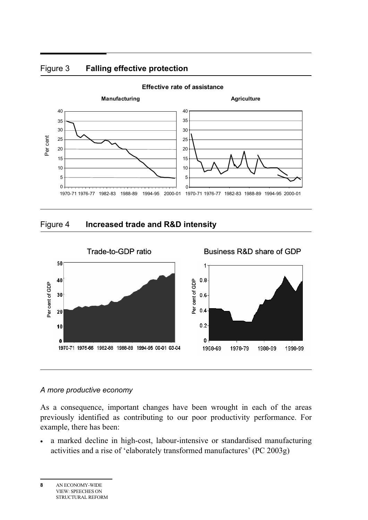



#### **Effective rate of assistance**

#### Figure 4 **Increased trade and R&D intensity**



#### *A more productive economy*

As a consequence, important changes have been wrought in each of the areas previously identified as contributing to our poor productivity performance. For example, there has been:

• a marked decline in high-cost, labour-intensive or standardised manufacturing activities and a rise of 'elaborately transformed manufactures' (PC 2003g)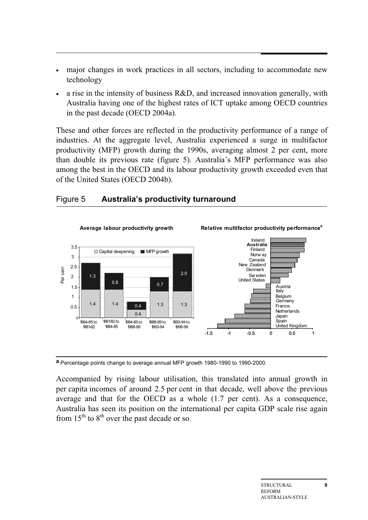- major changes in work practices in all sectors, including to accommodate new technology
- a rise in the intensity of business R&D, and increased innovation generally, with Australia having one of the highest rates of ICT uptake among OECD countries in the past decade (OECD 2004a).

These and other forces are reflected in the productivity performance of a range of industries. At the aggregate level, Australia experienced a surge in multifactor productivity (MFP) growth during the 1990s, averaging almost 2 per cent, more than double its previous rate (figure 5). Australia's MFP performance was also among the best in the OECD and its labour productivity growth exceeded even that of the United States (OECD 2004b).

# Figure 5 **Australia's productivity turnaround**



**a** Percentage points change to average annual MFP growth 1980-1990 to 1990-2000.

Accompanied by rising labour utilisation, this translated into annual growth in per capita incomes of around 2.5 per cent in that decade, well above the previous average and that for the OECD as a whole (1.7 per cent). As a consequence, Australia has seen its position on the international per capita GDP scale rise again from  $15<sup>th</sup>$  to  $8<sup>th</sup>$  over the past decade or so.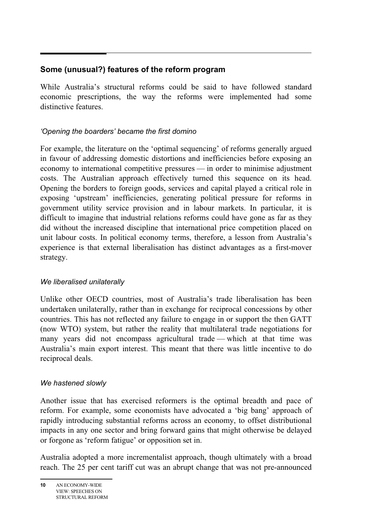# **Some (unusual?) features of the reform program**

While Australia's structural reforms could be said to have followed standard economic prescriptions, the way the reforms were implemented had some distinctive features.

## *'Opening the boarders' became the first domino*

For example, the literature on the 'optimal sequencing' of reforms generally argued in favour of addressing domestic distortions and inefficiencies before exposing an economy to international competitive pressures — in order to minimise adjustment costs. The Australian approach effectively turned this sequence on its head. Opening the borders to foreign goods, services and capital played a critical role in exposing 'upstream' inefficiencies, generating political pressure for reforms in government utility service provision and in labour markets. In particular, it is difficult to imagine that industrial relations reforms could have gone as far as they did without the increased discipline that international price competition placed on unit labour costs. In political economy terms, therefore, a lesson from Australia's experience is that external liberalisation has distinct advantages as a first-mover strategy.

## *We liberalised unilaterally*

Unlike other OECD countries, most of Australia's trade liberalisation has been undertaken unilaterally, rather than in exchange for reciprocal concessions by other countries. This has not reflected any failure to engage in or support the then GATT (now WTO) system, but rather the reality that multilateral trade negotiations for many years did not encompass agricultural trade — which at that time was Australia's main export interest. This meant that there was little incentive to do reciprocal deals.

## *We hastened slowly*

Another issue that has exercised reformers is the optimal breadth and pace of reform. For example, some economists have advocated a 'big bang' approach of rapidly introducing substantial reforms across an economy, to offset distributional impacts in any one sector and bring forward gains that might otherwise be delayed or forgone as 'reform fatigue' or opposition set in.

Australia adopted a more incrementalist approach, though ultimately with a broad reach. The 25 per cent tariff cut was an abrupt change that was not pre-announced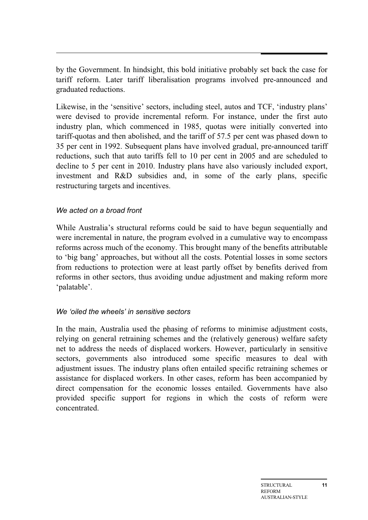by the Government. In hindsight, this bold initiative probably set back the case for tariff reform. Later tariff liberalisation programs involved pre-announced and graduated reductions.

Likewise, in the 'sensitive' sectors, including steel, autos and TCF, 'industry plans' were devised to provide incremental reform. For instance, under the first auto industry plan, which commenced in 1985, quotas were initially converted into tariff-quotas and then abolished, and the tariff of 57.5 per cent was phased down to 35 per cent in 1992. Subsequent plans have involved gradual, pre-announced tariff reductions, such that auto tariffs fell to 10 per cent in 2005 and are scheduled to decline to 5 per cent in 2010. Industry plans have also variously included export, investment and R&D subsidies and, in some of the early plans, specific restructuring targets and incentives.

#### *We acted on a broad front*

While Australia's structural reforms could be said to have begun sequentially and were incremental in nature, the program evolved in a cumulative way to encompass reforms across much of the economy. This brought many of the benefits attributable to 'big bang' approaches, but without all the costs. Potential losses in some sectors from reductions to protection were at least partly offset by benefits derived from reforms in other sectors, thus avoiding undue adjustment and making reform more 'palatable'.

#### *We 'oiled the wheels' in sensitive sectors*

In the main, Australia used the phasing of reforms to minimise adjustment costs, relying on general retraining schemes and the (relatively generous) welfare safety net to address the needs of displaced workers. However, particularly in sensitive sectors, governments also introduced some specific measures to deal with adjustment issues. The industry plans often entailed specific retraining schemes or assistance for displaced workers. In other cases, reform has been accompanied by direct compensation for the economic losses entailed. Governments have also provided specific support for regions in which the costs of reform were concentrated.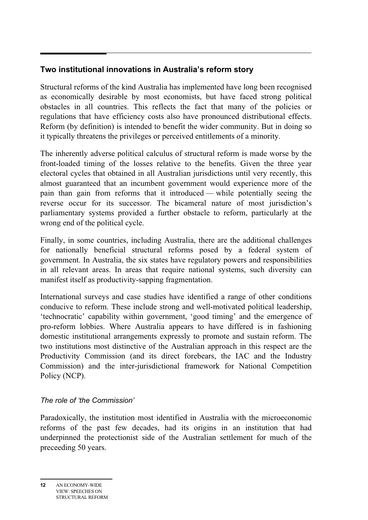# **Two institutional innovations in Australia's reform story**

Structural reforms of the kind Australia has implemented have long been recognised as economically desirable by most economists, but have faced strong political obstacles in all countries. This reflects the fact that many of the policies or regulations that have efficiency costs also have pronounced distributional effects. Reform (by definition) is intended to benefit the wider community. But in doing so it typically threatens the privileges or perceived entitlements of a minority.

The inherently adverse political calculus of structural reform is made worse by the front-loaded timing of the losses relative to the benefits. Given the three year electoral cycles that obtained in all Australian jurisdictions until very recently, this almost guaranteed that an incumbent government would experience more of the pain than gain from reforms that it introduced — while potentially seeing the reverse occur for its successor. The bicameral nature of most jurisdiction's parliamentary systems provided a further obstacle to reform, particularly at the wrong end of the political cycle.

Finally, in some countries, including Australia, there are the additional challenges for nationally beneficial structural reforms posed by a federal system of government. In Australia, the six states have regulatory powers and responsibilities in all relevant areas. In areas that require national systems, such diversity can manifest itself as productivity-sapping fragmentation.

International surveys and case studies have identified a range of other conditions conducive to reform. These include strong and well-motivated political leadership, 'technocratic' capability within government, 'good timing' and the emergence of pro-reform lobbies. Where Australia appears to have differed is in fashioning domestic institutional arrangements expressly to promote and sustain reform. The two institutions most distinctive of the Australian approach in this respect are the Productivity Commission (and its direct forebears, the IAC and the Industry Commission) and the inter-jurisdictional framework for National Competition Policy (NCP).

## *The role of 'the Commission'*

Paradoxically, the institution most identified in Australia with the microeconomic reforms of the past few decades, had its origins in an institution that had underpinned the protectionist side of the Australian settlement for much of the preceeding 50 years.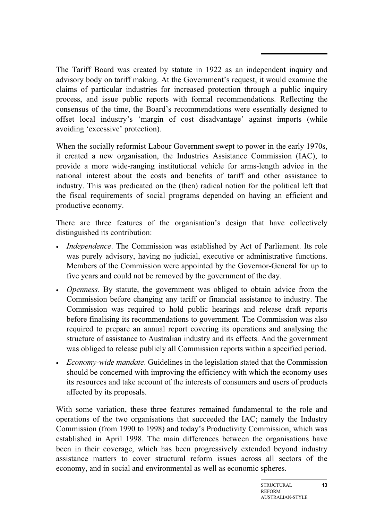The Tariff Board was created by statute in 1922 as an independent inquiry and advisory body on tariff making. At the Government's request, it would examine the claims of particular industries for increased protection through a public inquiry process, and issue public reports with formal recommendations. Reflecting the consensus of the time, the Board's recommendations were essentially designed to offset local industry's 'margin of cost disadvantage' against imports (while avoiding 'excessive' protection).

When the socially reformist Labour Government swept to power in the early 1970s, it created a new organisation, the Industries Assistance Commission (IAC), to provide a more wide-ranging institutional vehicle for arms-length advice in the national interest about the costs and benefits of tariff and other assistance to industry. This was predicated on the (then) radical notion for the political left that the fiscal requirements of social programs depended on having an efficient and productive economy.

There are three features of the organisation's design that have collectively distinguished its contribution:

- *Independence*. The Commission was established by Act of Parliament. Its role was purely advisory, having no judicial, executive or administrative functions. Members of the Commission were appointed by the Governor-General for up to five years and could not be removed by the government of the day.
- *Openness*. By statute, the government was obliged to obtain advice from the Commission before changing any tariff or financial assistance to industry. The Commission was required to hold public hearings and release draft reports before finalising its recommendations to government. The Commission was also required to prepare an annual report covering its operations and analysing the structure of assistance to Australian industry and its effects. And the government was obliged to release publicly all Commission reports within a specified period.
- *Economy-wide mandate*. Guidelines in the legislation stated that the Commission should be concerned with improving the efficiency with which the economy uses its resources and take account of the interests of consumers and users of products affected by its proposals.

With some variation, these three features remained fundamental to the role and operations of the two organisations that succeeded the IAC; namely the Industry Commission (from 1990 to 1998) and today's Productivity Commission, which was established in April 1998. The main differences between the organisations have been in their coverage, which has been progressively extended beyond industry assistance matters to cover structural reform issues across all sectors of the economy, and in social and environmental as well as economic spheres.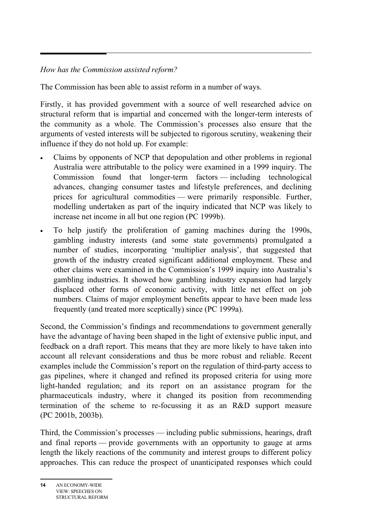# *How has the Commission assisted reform?*

The Commission has been able to assist reform in a number of ways.

Firstly, it has provided government with a source of well researched advice on structural reform that is impartial and concerned with the longer-term interests of the community as a whole. The Commission's processes also ensure that the arguments of vested interests will be subjected to rigorous scrutiny, weakening their influence if they do not hold up. For example:

- Claims by opponents of NCP that depopulation and other problems in regional Australia were attributable to the policy were examined in a 1999 inquiry. The Commission found that longer-term factors — including technological advances, changing consumer tastes and lifestyle preferences, and declining prices for agricultural commodities — were primarily responsible. Further, modelling undertaken as part of the inquiry indicated that NCP was likely to increase net income in all but one region (PC 1999b).
- To help justify the proliferation of gaming machines during the 1990s, gambling industry interests (and some state governments) promulgated a number of studies, incorporating 'multiplier analysis', that suggested that growth of the industry created significant additional employment. These and other claims were examined in the Commission's 1999 inquiry into Australia's gambling industries. It showed how gambling industry expansion had largely displaced other forms of economic activity, with little net effect on job numbers. Claims of major employment benefits appear to have been made less frequently (and treated more sceptically) since (PC 1999a).

Second, the Commission's findings and recommendations to government generally have the advantage of having been shaped in the light of extensive public input, and feedback on a draft report. This means that they are more likely to have taken into account all relevant considerations and thus be more robust and reliable. Recent examples include the Commission's report on the regulation of third-party access to gas pipelines, where it changed and refined its proposed criteria for using more light-handed regulation; and its report on an assistance program for the pharmaceuticals industry, where it changed its position from recommending termination of the scheme to re-focussing it as an R&D support measure (PC 2001b, 2003b).

Third, the Commission's processes — including public submissions, hearings, draft and final reports — provide governments with an opportunity to gauge at arms length the likely reactions of the community and interest groups to different policy approaches. This can reduce the prospect of unanticipated responses which could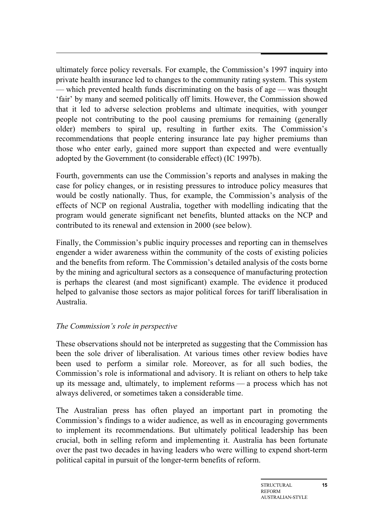ultimately force policy reversals. For example, the Commission's 1997 inquiry into private health insurance led to changes to the community rating system. This system — which prevented health funds discriminating on the basis of age — was thought 'fair' by many and seemed politically off limits. However, the Commission showed that it led to adverse selection problems and ultimate inequities, with younger people not contributing to the pool causing premiums for remaining (generally older) members to spiral up, resulting in further exits. The Commission's recommendations that people entering insurance late pay higher premiums than those who enter early, gained more support than expected and were eventually adopted by the Government (to considerable effect) (IC 1997b).

Fourth, governments can use the Commission's reports and analyses in making the case for policy changes, or in resisting pressures to introduce policy measures that would be costly nationally. Thus, for example, the Commission's analysis of the effects of NCP on regional Australia, together with modelling indicating that the program would generate significant net benefits, blunted attacks on the NCP and contributed to its renewal and extension in 2000 (see below).

Finally, the Commission's public inquiry processes and reporting can in themselves engender a wider awareness within the community of the costs of existing policies and the benefits from reform. The Commission's detailed analysis of the costs borne by the mining and agricultural sectors as a consequence of manufacturing protection is perhaps the clearest (and most significant) example. The evidence it produced helped to galvanise those sectors as major political forces for tariff liberalisation in Australia.

# *The Commission's role in perspective*

These observations should not be interpreted as suggesting that the Commission has been the sole driver of liberalisation. At various times other review bodies have been used to perform a similar role. Moreover, as for all such bodies, the Commission's role is informational and advisory. It is reliant on others to help take up its message and, ultimately, to implement reforms — a process which has not always delivered, or sometimes taken a considerable time.

The Australian press has often played an important part in promoting the Commission's findings to a wider audience, as well as in encouraging governments to implement its recommendations. But ultimately political leadership has been crucial, both in selling reform and implementing it. Australia has been fortunate over the past two decades in having leaders who were willing to expend short-term political capital in pursuit of the longer-term benefits of reform.

**15**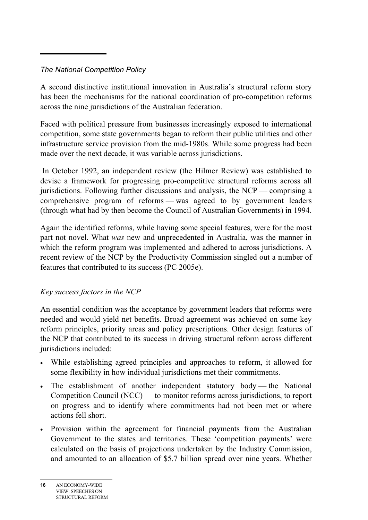# *The National Competition Policy*

A second distinctive institutional innovation in Australia's structural reform story has been the mechanisms for the national coordination of pro-competition reforms across the nine jurisdictions of the Australian federation.

Faced with political pressure from businesses increasingly exposed to international competition, some state governments began to reform their public utilities and other infrastructure service provision from the mid-1980s. While some progress had been made over the next decade, it was variable across jurisdictions.

 In October 1992, an independent review (the Hilmer Review) was established to devise a framework for progressing pro-competitive structural reforms across all jurisdictions. Following further discussions and analysis, the NCP — comprising a comprehensive program of reforms — was agreed to by government leaders (through what had by then become the Council of Australian Governments) in 1994.

Again the identified reforms, while having some special features, were for the most part not novel. What *was* new and unprecedented in Australia, was the manner in which the reform program was implemented and adhered to across jurisdictions. A recent review of the NCP by the Productivity Commission singled out a number of features that contributed to its success (PC 2005e).

# *Key success factors in the NCP*

An essential condition was the acceptance by government leaders that reforms were needed and would yield net benefits. Broad agreement was achieved on some key reform principles, priority areas and policy prescriptions. Other design features of the NCP that contributed to its success in driving structural reform across different jurisdictions included:

- While establishing agreed principles and approaches to reform, it allowed for some flexibility in how individual jurisdictions met their commitments.
- The establishment of another independent statutory body the National Competition Council (NCC) — to monitor reforms across jurisdictions, to report on progress and to identify where commitments had not been met or where actions fell short.
- Provision within the agreement for financial payments from the Australian Government to the states and territories. These 'competition payments' were calculated on the basis of projections undertaken by the Industry Commission, and amounted to an allocation of \$5.7 billion spread over nine years. Whether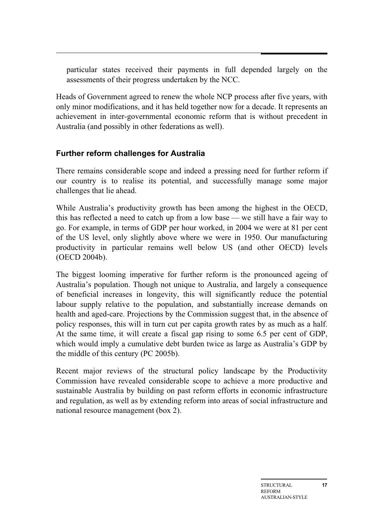particular states received their payments in full depended largely on the assessments of their progress undertaken by the NCC.

Heads of Government agreed to renew the whole NCP process after five years, with only minor modifications, and it has held together now for a decade. It represents an achievement in inter-governmental economic reform that is without precedent in Australia (and possibly in other federations as well).

# **Further reform challenges for Australia**

There remains considerable scope and indeed a pressing need for further reform if our country is to realise its potential, and successfully manage some major challenges that lie ahead.

While Australia's productivity growth has been among the highest in the OECD, this has reflected a need to catch up from a low base — we still have a fair way to go. For example, in terms of GDP per hour worked, in 2004 we were at 81 per cent of the US level, only slightly above where we were in 1950. Our manufacturing productivity in particular remains well below US (and other OECD) levels (OECD 2004b).

The biggest looming imperative for further reform is the pronounced ageing of Australia's population. Though not unique to Australia, and largely a consequence of beneficial increases in longevity, this will significantly reduce the potential labour supply relative to the population, and substantially increase demands on health and aged-care. Projections by the Commission suggest that, in the absence of policy responses, this will in turn cut per capita growth rates by as much as a half. At the same time, it will create a fiscal gap rising to some 6.5 per cent of GDP, which would imply a cumulative debt burden twice as large as Australia's GDP by the middle of this century (PC 2005b).

Recent major reviews of the structural policy landscape by the Productivity Commission have revealed considerable scope to achieve a more productive and sustainable Australia by building on past reform efforts in economic infrastructure and regulation, as well as by extending reform into areas of social infrastructure and national resource management (box 2).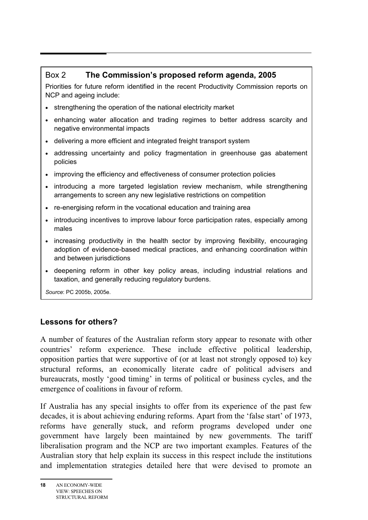# Box 2 **The Commission's proposed reform agenda, 2005**

Priorities for future reform identified in the recent Productivity Commission reports on NCP and ageing include:

- strengthening the operation of the national electricity market
- enhancing water allocation and trading regimes to better address scarcity and negative environmental impacts
- delivering a more efficient and integrated freight transport system
- addressing uncertainty and policy fragmentation in greenhouse gas abatement policies
- improving the efficiency and effectiveness of consumer protection policies
- introducing a more targeted legislation review mechanism, while strengthening arrangements to screen any new legislative restrictions on competition
- re-energising reform in the vocational education and training area
- introducing incentives to improve labour force participation rates, especially among males
- increasing productivity in the health sector by improving flexibility, encouraging adoption of evidence-based medical practices, and enhancing coordination within and between jurisdictions
- deepening reform in other key policy areas, including industrial relations and taxation, and generally reducing regulatory burdens.

*Source*: PC 2005b, 2005e.

# **Lessons for others?**

A number of features of the Australian reform story appear to resonate with other countries' reform experience. These include effective political leadership, opposition parties that were supportive of (or at least not strongly opposed to) key structural reforms, an economically literate cadre of political advisers and bureaucrats, mostly 'good timing' in terms of political or business cycles, and the emergence of coalitions in favour of reform.

If Australia has any special insights to offer from its experience of the past few decades, it is about achieving enduring reforms. Apart from the 'false start' of 1973, reforms have generally stuck, and reform programs developed under one government have largely been maintained by new governments. The tariff liberalisation program and the NCP are two important examples. Features of the Australian story that help explain its success in this respect include the institutions and implementation strategies detailed here that were devised to promote an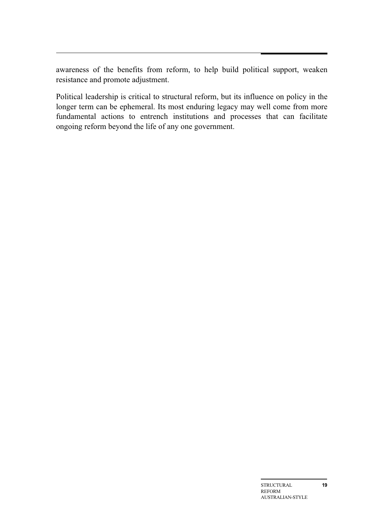awareness of the benefits from reform, to help build political support, weaken resistance and promote adjustment.

Political leadership is critical to structural reform, but its influence on policy in the longer term can be ephemeral. Its most enduring legacy may well come from more fundamental actions to entrench institutions and processes that can facilitate ongoing reform beyond the life of any one government.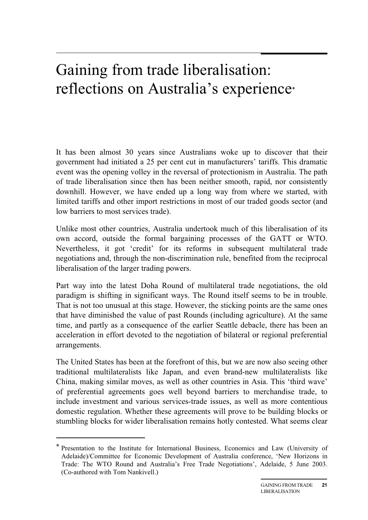# Gaining from trade liberalisation: reflections on Australia's experience\*

It has been almost 30 years since Australians woke up to discover that their government had initiated a 25 per cent cut in manufacturers' tariffs. This dramatic event was the opening volley in the reversal of protectionism in Australia. The path of trade liberalisation since then has been neither smooth, rapid, nor consistently downhill. However, we have ended up a long way from where we started, with limited tariffs and other import restrictions in most of our traded goods sector (and low barriers to most services trade).

Unlike most other countries, Australia undertook much of this liberalisation of its own accord, outside the formal bargaining processes of the GATT or WTO. Nevertheless, it got 'credit' for its reforms in subsequent multilateral trade negotiations and, through the non-discrimination rule, benefited from the reciprocal liberalisation of the larger trading powers.

Part way into the latest Doha Round of multilateral trade negotiations, the old paradigm is shifting in significant ways. The Round itself seems to be in trouble. That is not too unusual at this stage. However, the sticking points are the same ones that have diminished the value of past Rounds (including agriculture). At the same time, and partly as a consequence of the earlier Seattle debacle, there has been an acceleration in effort devoted to the negotiation of bilateral or regional preferential arrangements.

The United States has been at the forefront of this, but we are now also seeing other traditional multilateralists like Japan, and even brand-new multilateralists like China, making similar moves, as well as other countries in Asia. This 'third wave' of preferential agreements goes well beyond barriers to merchandise trade, to include investment and various services-trade issues, as well as more contentious domestic regulation. Whether these agreements will prove to be building blocks or stumbling blocks for wider liberalisation remains hotly contested. What seems clear

 $\overline{a}$ 

<sup>\*</sup> Presentation to the Institute for International Business, Economics and Law (University of Adelaide)/Committee for Economic Development of Australia conference, 'New Horizons in Trade: The WTO Round and Australia's Free Trade Negotiations', Adelaide, 5 June 2003. (Co-authored with Tom Nankivell.)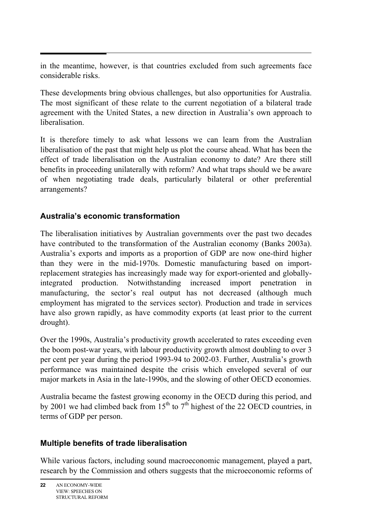$\ddot{\phantom{0}}$ in the meantime, however, is that countries excluded from such agreements face considerable risks.

These developments bring obvious challenges, but also opportunities for Australia. The most significant of these relate to the current negotiation of a bilateral trade agreement with the United States, a new direction in Australia's own approach to liberalisation.

It is therefore timely to ask what lessons we can learn from the Australian liberalisation of the past that might help us plot the course ahead. What has been the effect of trade liberalisation on the Australian economy to date? Are there still benefits in proceeding unilaterally with reform? And what traps should we be aware of when negotiating trade deals, particularly bilateral or other preferential arrangements?

# **Australia's economic transformation**

The liberalisation initiatives by Australian governments over the past two decades have contributed to the transformation of the Australian economy (Banks 2003a). Australia's exports and imports as a proportion of GDP are now one-third higher than they were in the mid-1970s. Domestic manufacturing based on importreplacement strategies has increasingly made way for export-oriented and globallyintegrated production. Notwithstanding increased import penetration in manufacturing, the sector's real output has not decreased (although much employment has migrated to the services sector). Production and trade in services have also grown rapidly, as have commodity exports (at least prior to the current drought).

Over the 1990s, Australia's productivity growth accelerated to rates exceeding even the boom post-war years, with labour productivity growth almost doubling to over 3 per cent per year during the period 1993-94 to 2002-03. Further, Australia's growth performance was maintained despite the crisis which enveloped several of our major markets in Asia in the late-1990s, and the slowing of other OECD economies.

Australia became the fastest growing economy in the OECD during this period, and by 2001 we had climbed back from  $15<sup>th</sup>$  to  $7<sup>th</sup>$  highest of the 22 OECD countries, in terms of GDP per person.

## **Multiple benefits of trade liberalisation**

While various factors, including sound macroeconomic management, played a part, research by the Commission and others suggests that the microeconomic reforms of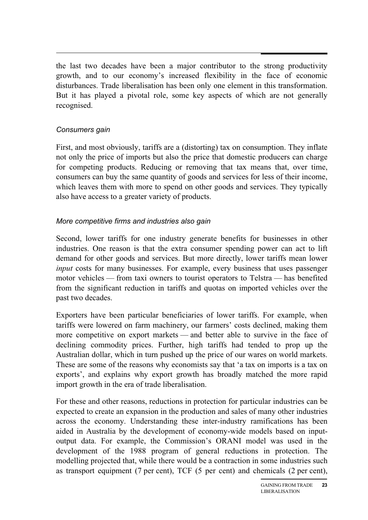the last two decades have been a major contributor to the strong productivity growth, and to our economy's increased flexibility in the face of economic disturbances. Trade liberalisation has been only one element in this transformation. But it has played a pivotal role, some key aspects of which are not generally recognised.

## *Consumers gain*

First, and most obviously, tariffs are a (distorting) tax on consumption. They inflate not only the price of imports but also the price that domestic producers can charge for competing products. Reducing or removing that tax means that, over time, consumers can buy the same quantity of goods and services for less of their income, which leaves them with more to spend on other goods and services. They typically also have access to a greater variety of products.

## *More competitive firms and industries also gain*

Second, lower tariffs for one industry generate benefits for businesses in other industries. One reason is that the extra consumer spending power can act to lift demand for other goods and services. But more directly, lower tariffs mean lower *input* costs for many businesses. For example, every business that uses passenger motor vehicles — from taxi owners to tourist operators to Telstra — has benefited from the significant reduction in tariffs and quotas on imported vehicles over the past two decades.

Exporters have been particular beneficiaries of lower tariffs. For example, when tariffs were lowered on farm machinery, our farmers' costs declined, making them more competitive on export markets — and better able to survive in the face of declining commodity prices. Further, high tariffs had tended to prop up the Australian dollar, which in turn pushed up the price of our wares on world markets. These are some of the reasons why economists say that 'a tax on imports is a tax on exports', and explains why export growth has broadly matched the more rapid import growth in the era of trade liberalisation.

For these and other reasons, reductions in protection for particular industries can be expected to create an expansion in the production and sales of many other industries across the economy. Understanding these inter-industry ramifications has been aided in Australia by the development of economy-wide models based on inputoutput data. For example, the Commission's ORANI model was used in the development of the 1988 program of general reductions in protection. The modelling projected that, while there would be a contraction in some industries such as transport equipment (7 per cent), TCF (5 per cent) and chemicals (2 per cent),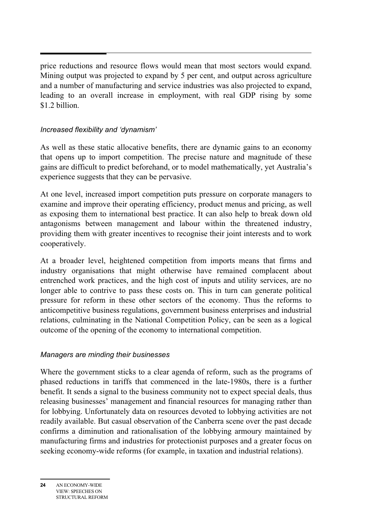price reductions and resource flows would mean that most sectors would expand. Mining output was projected to expand by 5 per cent, and output across agriculture and a number of manufacturing and service industries was also projected to expand, leading to an overall increase in employment, with real GDP rising by some \$1.2 billion.

## *Increased flexibility and 'dynamism'*

As well as these static allocative benefits, there are dynamic gains to an economy that opens up to import competition. The precise nature and magnitude of these gains are difficult to predict beforehand, or to model mathematically, yet Australia's experience suggests that they can be pervasive.

At one level, increased import competition puts pressure on corporate managers to examine and improve their operating efficiency, product menus and pricing, as well as exposing them to international best practice. It can also help to break down old antagonisms between management and labour within the threatened industry, providing them with greater incentives to recognise their joint interests and to work cooperatively.

At a broader level, heightened competition from imports means that firms and industry organisations that might otherwise have remained complacent about entrenched work practices, and the high cost of inputs and utility services, are no longer able to contrive to pass these costs on. This in turn can generate political pressure for reform in these other sectors of the economy. Thus the reforms to anticompetitive business regulations, government business enterprises and industrial relations, culminating in the National Competition Policy, can be seen as a logical outcome of the opening of the economy to international competition.

#### *Managers are minding their businesses*

Where the government sticks to a clear agenda of reform, such as the programs of phased reductions in tariffs that commenced in the late-1980s, there is a further benefit. It sends a signal to the business community not to expect special deals, thus releasing businesses' management and financial resources for managing rather than for lobbying. Unfortunately data on resources devoted to lobbying activities are not readily available. But casual observation of the Canberra scene over the past decade confirms a diminution and rationalisation of the lobbying armoury maintained by manufacturing firms and industries for protectionist purposes and a greater focus on seeking economy-wide reforms (for example, in taxation and industrial relations).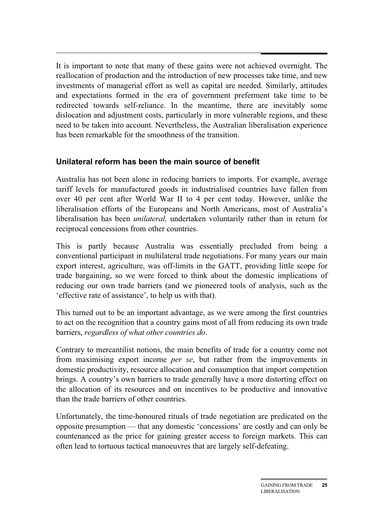$\overline{a}$ It is important to note that many of these gains were not achieved overnight. The reallocation of production and the introduction of new processes take time, and new investments of managerial effort as well as capital are needed. Similarly, attitudes and expectations formed in the era of government preferment take time to be redirected towards self-reliance. In the meantime, there are inevitably some dislocation and adjustment costs, particularly in more vulnerable regions, and these need to be taken into account. Nevertheless, the Australian liberalisation experience has been remarkable for the smoothness of the transition.

# **Unilateral reform has been the main source of benefit**

Australia has not been alone in reducing barriers to imports. For example, average tariff levels for manufactured goods in industrialised countries have fallen from over 40 per cent after World War II to 4 per cent today. However, unlike the liberalisation efforts of the Europeans and North Americans, most of Australia's liberalisation has been *unilateral,* undertaken voluntarily rather than in return for reciprocal concessions from other countries.

This is partly because Australia was essentially precluded from being a conventional participant in multilateral trade negotiations. For many years our main export interest, agriculture, was off-limits in the GATT, providing little scope for trade bargaining, so we were forced to think about the domestic implications of reducing our own trade barriers (and we pioneered tools of analysis, such as the 'effective rate of assistance', to help us with that).

This turned out to be an important advantage, as we were among the first countries to act on the recognition that a country gains most of all from reducing its own trade barriers, *regardless of what other countries do*.

Contrary to mercantilist notions, the main benefits of trade for a country come not from maximising export income *per se*, but rather from the improvements in domestic productivity, resource allocation and consumption that import competition brings. A country's own barriers to trade generally have a more distorting effect on the allocation of its resources and on incentives to be productive and innovative than the trade barriers of other countries.

Unfortunately, the time-honoured rituals of trade negotiation are predicated on the opposite presumption — that any domestic 'concessions' are costly and can only be countenanced as the price for gaining greater access to foreign markets. This can often lead to tortuous tactical manoeuvres that are largely self-defeating.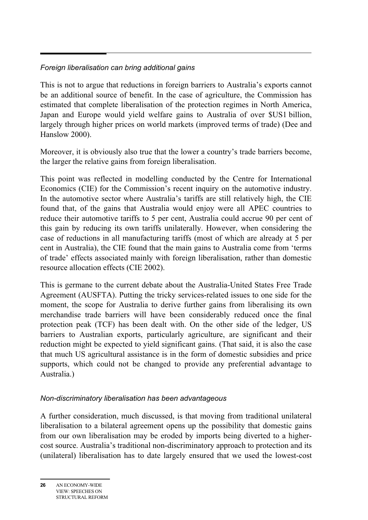# *Foreign liberalisation can bring additional gains*

This is not to argue that reductions in foreign barriers to Australia's exports cannot be an additional source of benefit. In the case of agriculture, the Commission has estimated that complete liberalisation of the protection regimes in North America, Japan and Europe would yield welfare gains to Australia of over \$US1 billion, largely through higher prices on world markets (improved terms of trade) (Dee and Hanslow 2000).

Moreover, it is obviously also true that the lower a country's trade barriers become, the larger the relative gains from foreign liberalisation.

This point was reflected in modelling conducted by the Centre for International Economics (CIE) for the Commission's recent inquiry on the automotive industry. In the automotive sector where Australia's tariffs are still relatively high, the CIE found that, of the gains that Australia would enjoy were all APEC countries to reduce their automotive tariffs to 5 per cent, Australia could accrue 90 per cent of this gain by reducing its own tariffs unilaterally. However, when considering the case of reductions in all manufacturing tariffs (most of which are already at 5 per cent in Australia), the CIE found that the main gains to Australia come from 'terms of trade' effects associated mainly with foreign liberalisation, rather than domestic resource allocation effects (CIE 2002).

This is germane to the current debate about the Australia-United States Free Trade Agreement (AUSFTA). Putting the tricky services-related issues to one side for the moment, the scope for Australia to derive further gains from liberalising its own merchandise trade barriers will have been considerably reduced once the final protection peak (TCF) has been dealt with. On the other side of the ledger, US barriers to Australian exports, particularly agriculture, are significant and their reduction might be expected to yield significant gains. (That said, it is also the case that much US agricultural assistance is in the form of domestic subsidies and price supports, which could not be changed to provide any preferential advantage to Australia.)

## *Non-discriminatory liberalisation has been advantageous*

A further consideration, much discussed, is that moving from traditional unilateral liberalisation to a bilateral agreement opens up the possibility that domestic gains from our own liberalisation may be eroded by imports being diverted to a highercost source. Australia's traditional non-discriminatory approach to protection and its (unilateral) liberalisation has to date largely ensured that we used the lowest-cost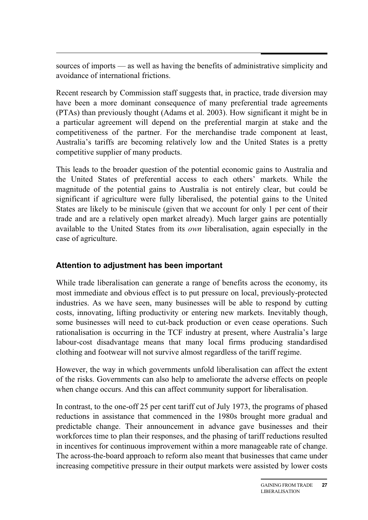sources of imports — as well as having the benefits of administrative simplicity and avoidance of international frictions.

Recent research by Commission staff suggests that, in practice, trade diversion may have been a more dominant consequence of many preferential trade agreements (PTAs) than previously thought (Adams et al. 2003). How significant it might be in a particular agreement will depend on the preferential margin at stake and the competitiveness of the partner. For the merchandise trade component at least, Australia's tariffs are becoming relatively low and the United States is a pretty competitive supplier of many products.

This leads to the broader question of the potential economic gains to Australia and the United States of preferential access to each others' markets. While the magnitude of the potential gains to Australia is not entirely clear, but could be significant if agriculture were fully liberalised, the potential gains to the United States are likely to be miniscule (given that we account for only 1 per cent of their trade and are a relatively open market already). Much larger gains are potentially available to the United States from its *own* liberalisation, again especially in the case of agriculture.

# **Attention to adjustment has been important**

While trade liberalisation can generate a range of benefits across the economy, its most immediate and obvious effect is to put pressure on local, previously-protected industries. As we have seen, many businesses will be able to respond by cutting costs, innovating, lifting productivity or entering new markets. Inevitably though, some businesses will need to cut-back production or even cease operations. Such rationalisation is occurring in the TCF industry at present, where Australia's large labour-cost disadvantage means that many local firms producing standardised clothing and footwear will not survive almost regardless of the tariff regime.

However, the way in which governments unfold liberalisation can affect the extent of the risks. Governments can also help to ameliorate the adverse effects on people when change occurs. And this can affect community support for liberalisation.

In contrast, to the one-off 25 per cent tariff cut of July 1973, the programs of phased reductions in assistance that commenced in the 1980s brought more gradual and predictable change. Their announcement in advance gave businesses and their workforces time to plan their responses, and the phasing of tariff reductions resulted in incentives for continuous improvement within a more manageable rate of change. The across-the-board approach to reform also meant that businesses that came under increasing competitive pressure in their output markets were assisted by lower costs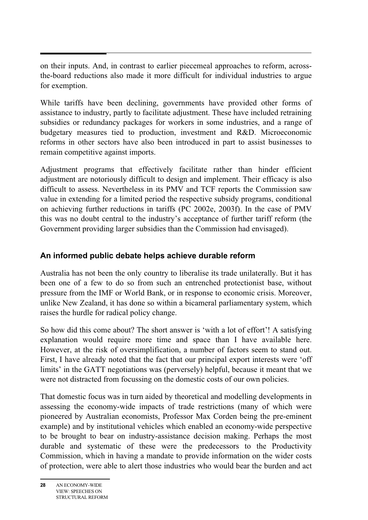on their inputs. And, in contrast to earlier piecemeal approaches to reform, acrossthe-board reductions also made it more difficult for individual industries to argue for exemption.

While tariffs have been declining, governments have provided other forms of assistance to industry, partly to facilitate adjustment. These have included retraining subsidies or redundancy packages for workers in some industries, and a range of budgetary measures tied to production, investment and R&D. Microeconomic reforms in other sectors have also been introduced in part to assist businesses to remain competitive against imports.

Adjustment programs that effectively facilitate rather than hinder efficient adjustment are notoriously difficult to design and implement. Their efficacy is also difficult to assess. Nevertheless in its PMV and TCF reports the Commission saw value in extending for a limited period the respective subsidy programs, conditional on achieving further reductions in tariffs (PC 2002e, 2003f). In the case of PMV this was no doubt central to the industry's acceptance of further tariff reform (the Government providing larger subsidies than the Commission had envisaged).

# **An informed public debate helps achieve durable reform**

Australia has not been the only country to liberalise its trade unilaterally. But it has been one of a few to do so from such an entrenched protectionist base, without pressure from the IMF or World Bank, or in response to economic crisis. Moreover, unlike New Zealand, it has done so within a bicameral parliamentary system, which raises the hurdle for radical policy change.

So how did this come about? The short answer is 'with a lot of effort'! A satisfying explanation would require more time and space than I have available here. However, at the risk of oversimplification, a number of factors seem to stand out. First, I have already noted that the fact that our principal export interests were 'off limits' in the GATT negotiations was (perversely) helpful, because it meant that we were not distracted from focussing on the domestic costs of our own policies.

That domestic focus was in turn aided by theoretical and modelling developments in assessing the economy-wide impacts of trade restrictions (many of which were pioneered by Australian economists, Professor Max Corden being the pre-eminent example) and by institutional vehicles which enabled an economy-wide perspective to be brought to bear on industry-assistance decision making. Perhaps the most durable and systematic of these were the predecessors to the Productivity Commission, which in having a mandate to provide information on the wider costs of protection, were able to alert those industries who would bear the burden and act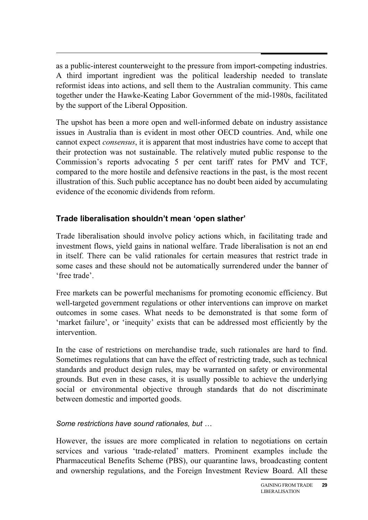as a public-interest counterweight to the pressure from import-competing industries. A third important ingredient was the political leadership needed to translate reformist ideas into actions, and sell them to the Australian community. This came together under the Hawke-Keating Labor Government of the mid-1980s, facilitated by the support of the Liberal Opposition.

The upshot has been a more open and well-informed debate on industry assistance issues in Australia than is evident in most other OECD countries. And, while one cannot expect *consensus*, it is apparent that most industries have come to accept that their protection was not sustainable. The relatively muted public response to the Commission's reports advocating 5 per cent tariff rates for PMV and TCF, compared to the more hostile and defensive reactions in the past, is the most recent illustration of this. Such public acceptance has no doubt been aided by accumulating evidence of the economic dividends from reform.

# **Trade liberalisation shouldn't mean 'open slather'**

Trade liberalisation should involve policy actions which, in facilitating trade and investment flows, yield gains in national welfare. Trade liberalisation is not an end in itself. There can be valid rationales for certain measures that restrict trade in some cases and these should not be automatically surrendered under the banner of 'free trade'.

Free markets can be powerful mechanisms for promoting economic efficiency. But well-targeted government regulations or other interventions can improve on market outcomes in some cases. What needs to be demonstrated is that some form of 'market failure', or 'inequity' exists that can be addressed most efficiently by the intervention.

In the case of restrictions on merchandise trade, such rationales are hard to find. Sometimes regulations that can have the effect of restricting trade, such as technical standards and product design rules, may be warranted on safety or environmental grounds. But even in these cases, it is usually possible to achieve the underlying social or environmental objective through standards that do not discriminate between domestic and imported goods.

## *Some restrictions have sound rationales, but …*

However, the issues are more complicated in relation to negotiations on certain services and various 'trade-related' matters. Prominent examples include the Pharmaceutical Benefits Scheme (PBS), our quarantine laws, broadcasting content and ownership regulations, and the Foreign Investment Review Board. All these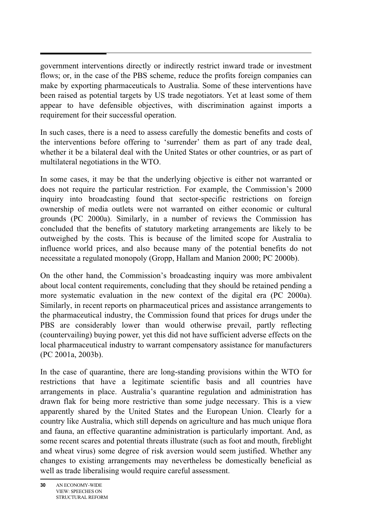government interventions directly or indirectly restrict inward trade or investment flows; or, in the case of the PBS scheme, reduce the profits foreign companies can make by exporting pharmaceuticals to Australia. Some of these interventions have been raised as potential targets by US trade negotiators. Yet at least some of them appear to have defensible objectives, with discrimination against imports a requirement for their successful operation.

In such cases, there is a need to assess carefully the domestic benefits and costs of the interventions before offering to 'surrender' them as part of any trade deal, whether it be a bilateral deal with the United States or other countries, or as part of multilateral negotiations in the WTO.

In some cases, it may be that the underlying objective is either not warranted or does not require the particular restriction. For example, the Commission's 2000 inquiry into broadcasting found that sector-specific restrictions on foreign ownership of media outlets were not warranted on either economic or cultural grounds (PC 2000a). Similarly, in a number of reviews the Commission has concluded that the benefits of statutory marketing arrangements are likely to be outweighed by the costs. This is because of the limited scope for Australia to influence world prices, and also because many of the potential benefits do not necessitate a regulated monopoly (Gropp, Hallam and Manion 2000; PC 2000b).

On the other hand, the Commission's broadcasting inquiry was more ambivalent about local content requirements, concluding that they should be retained pending a more systematic evaluation in the new context of the digital era (PC 2000a). Similarly, in recent reports on pharmaceutical prices and assistance arrangements to the pharmaceutical industry, the Commission found that prices for drugs under the PBS are considerably lower than would otherwise prevail, partly reflecting (countervailing) buying power, yet this did not have sufficient adverse effects on the local pharmaceutical industry to warrant compensatory assistance for manufacturers (PC 2001a, 2003b).

In the case of quarantine, there are long-standing provisions within the WTO for restrictions that have a legitimate scientific basis and all countries have arrangements in place. Australia's quarantine regulation and administration has drawn flak for being more restrictive than some judge necessary. This is a view apparently shared by the United States and the European Union. Clearly for a country like Australia, which still depends on agriculture and has much unique flora and fauna, an effective quarantine administration is particularly important. And, as some recent scares and potential threats illustrate (such as foot and mouth, fireblight and wheat virus) some degree of risk aversion would seem justified. Whether any changes to existing arrangements may nevertheless be domestically beneficial as well as trade liberalising would require careful assessment.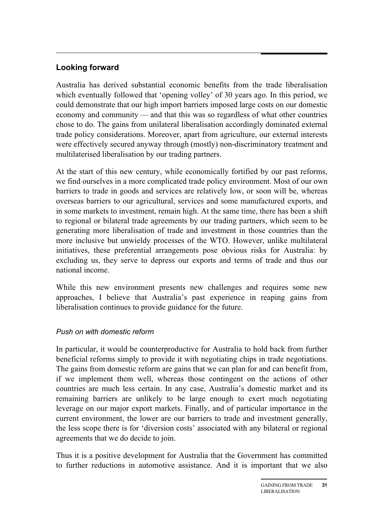# **Looking forward**

Australia has derived substantial economic benefits from the trade liberalisation which eventually followed that 'opening volley' of 30 years ago. In this period, we could demonstrate that our high import barriers imposed large costs on our domestic economy and community — and that this was so regardless of what other countries chose to do. The gains from unilateral liberalisation accordingly dominated external trade policy considerations. Moreover, apart from agriculture, our external interests were effectively secured anyway through (mostly) non-discriminatory treatment and multilaterised liberalisation by our trading partners.

At the start of this new century, while economically fortified by our past reforms, we find ourselves in a more complicated trade policy environment. Most of our own barriers to trade in goods and services are relatively low, or soon will be, whereas overseas barriers to our agricultural, services and some manufactured exports, and in some markets to investment, remain high. At the same time, there has been a shift to regional or bilateral trade agreements by our trading partners, which seem to be generating more liberalisation of trade and investment in those countries than the more inclusive but unwieldy processes of the WTO. However, unlike multilateral initiatives, these preferential arrangements pose obvious risks for Australia: by excluding us, they serve to depress our exports and terms of trade and thus our national income.

While this new environment presents new challenges and requires some new approaches, I believe that Australia's past experience in reaping gains from liberalisation continues to provide guidance for the future.

## *Push on with domestic reform*

In particular, it would be counterproductive for Australia to hold back from further beneficial reforms simply to provide it with negotiating chips in trade negotiations. The gains from domestic reform are gains that we can plan for and can benefit from, if we implement them well, whereas those contingent on the actions of other countries are much less certain. In any case, Australia's domestic market and its remaining barriers are unlikely to be large enough to exert much negotiating leverage on our major export markets. Finally, and of particular importance in the current environment, the lower are our barriers to trade and investment generally, the less scope there is for 'diversion costs' associated with any bilateral or regional agreements that we do decide to join.

Thus it is a positive development for Australia that the Government has committed to further reductions in automotive assistance. And it is important that we also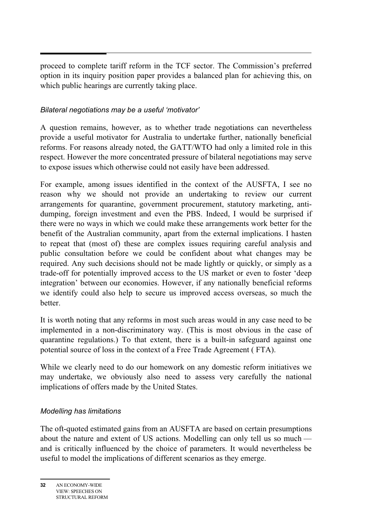proceed to complete tariff reform in the TCF sector. The Commission's preferred option in its inquiry position paper provides a balanced plan for achieving this, on which public hearings are currently taking place.

## *Bilateral negotiations may be a useful 'motivator'*

A question remains, however, as to whether trade negotiations can nevertheless provide a useful motivator for Australia to undertake further, nationally beneficial reforms. For reasons already noted, the GATT/WTO had only a limited role in this respect. However the more concentrated pressure of bilateral negotiations may serve to expose issues which otherwise could not easily have been addressed.

For example, among issues identified in the context of the AUSFTA, I see no reason why we should not provide an undertaking to review our current arrangements for quarantine, government procurement, statutory marketing, antidumping, foreign investment and even the PBS. Indeed, I would be surprised if there were no ways in which we could make these arrangements work better for the benefit of the Australian community, apart from the external implications. I hasten to repeat that (most of) these are complex issues requiring careful analysis and public consultation before we could be confident about what changes may be required. Any such decisions should not be made lightly or quickly, or simply as a trade-off for potentially improved access to the US market or even to foster 'deep integration' between our economies. However, if any nationally beneficial reforms we identify could also help to secure us improved access overseas, so much the better.

It is worth noting that any reforms in most such areas would in any case need to be implemented in a non-discriminatory way. (This is most obvious in the case of quarantine regulations.) To that extent, there is a built-in safeguard against one potential source of loss in the context of a Free Trade Agreement ( FTA).

While we clearly need to do our homework on any domestic reform initiatives we may undertake, we obviously also need to assess very carefully the national implications of offers made by the United States.

## *Modelling has limitations*

The oft-quoted estimated gains from an AUSFTA are based on certain presumptions about the nature and extent of US actions. Modelling can only tell us so much and is critically influenced by the choice of parameters. It would nevertheless be useful to model the implications of different scenarios as they emerge.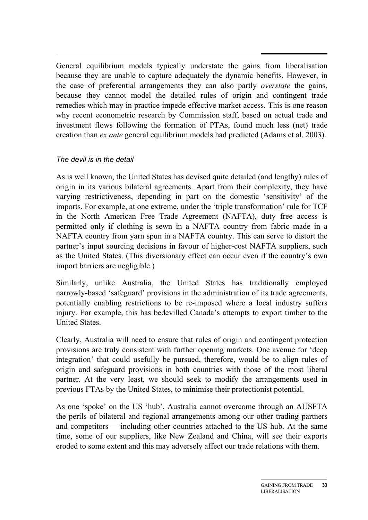$\overline{\phantom{a}}$ General equilibrium models typically understate the gains from liberalisation because they are unable to capture adequately the dynamic benefits. However, in the case of preferential arrangements they can also partly *overstate* the gains, because they cannot model the detailed rules of origin and contingent trade remedies which may in practice impede effective market access. This is one reason why recent econometric research by Commission staff, based on actual trade and investment flows following the formation of PTAs, found much less (net) trade creation than *ex ante* general equilibrium models had predicted (Adams et al. 2003).

#### *The devil is in the detail*

As is well known, the United States has devised quite detailed (and lengthy) rules of origin in its various bilateral agreements. Apart from their complexity, they have varying restrictiveness, depending in part on the domestic 'sensitivity' of the imports. For example, at one extreme, under the 'triple transformation' rule for TCF in the North American Free Trade Agreement (NAFTA), duty free access is permitted only if clothing is sewn in a NAFTA country from fabric made in a NAFTA country from yarn spun in a NAFTA country. This can serve to distort the partner's input sourcing decisions in favour of higher-cost NAFTA suppliers, such as the United States. (This diversionary effect can occur even if the country's own import barriers are negligible.)

Similarly, unlike Australia, the United States has traditionally employed narrowly-based 'safeguard' provisions in the administration of its trade agreements, potentially enabling restrictions to be re-imposed where a local industry suffers injury. For example, this has bedevilled Canada's attempts to export timber to the United States.

Clearly, Australia will need to ensure that rules of origin and contingent protection provisions are truly consistent with further opening markets. One avenue for 'deep integration' that could usefully be pursued, therefore, would be to align rules of origin and safeguard provisions in both countries with those of the most liberal partner. At the very least, we should seek to modify the arrangements used in previous FTAs by the United States, to minimise their protectionist potential.

As one 'spoke' on the US 'hub', Australia cannot overcome through an AUSFTA the perils of bilateral and regional arrangements among our other trading partners and competitors — including other countries attached to the US hub. At the same time, some of our suppliers, like New Zealand and China, will see their exports eroded to some extent and this may adversely affect our trade relations with them.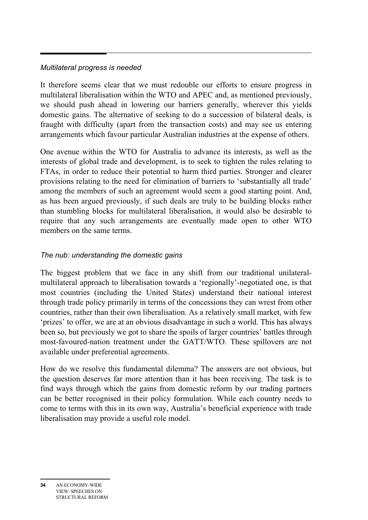#### *Multilateral progress is needed*

It therefore seems clear that we must redouble our efforts to ensure progress in multilateral liberalisation within the WTO and APEC and, as mentioned previously, we should push ahead in lowering our barriers generally, wherever this yields domestic gains. The alternative of seeking to do a succession of bilateral deals, is fraught with difficulty (apart from the transaction costs) and may see us entering arrangements which favour particular Australian industries at the expense of others.

One avenue within the WTO for Australia to advance its interests, as well as the interests of global trade and development, is to seek to tighten the rules relating to FTAs, in order to reduce their potential to harm third parties. Stronger and clearer provisions relating to the need for elimination of barriers to 'substantially all trade' among the members of such an agreement would seem a good starting point. And, as has been argued previously, if such deals are truly to be building blocks rather than stumbling blocks for multilateral liberalisation, it would also be desirable to require that any such arrangements are eventually made open to other WTO members on the same terms.

#### *The nub: understanding the domestic gains*

The biggest problem that we face in any shift from our traditional unilateralmultilateral approach to liberalisation towards a 'regionally'-negotiated one, is that most countries (including the United States) understand their national interest through trade policy primarily in terms of the concessions they can wrest from other countries, rather than their own liberalisation. As a relatively small market, with few 'prizes' to offer, we are at an obvious disadvantage in such a world. This has always been so, but previously we got to share the spoils of larger countries' battles through most-favoured-nation treatment under the GATT/WTO. These spillovers are not available under preferential agreements.

How do we resolve this fundamental dilemma? The answers are not obvious, but the question deserves far more attention than it has been receiving. The task is to find ways through which the gains from domestic reform by our trading partners can be better recognised in their policy formulation. While each country needs to come to terms with this in its own way, Australia's beneficial experience with trade liberalisation may provide a useful role model.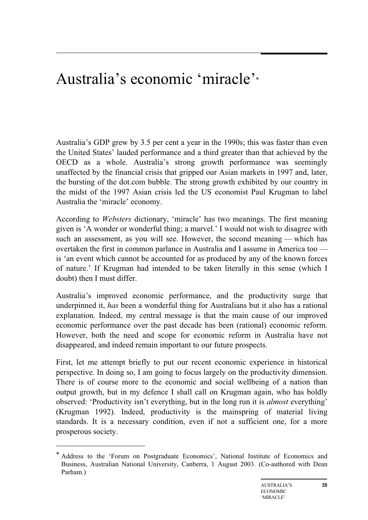# Australia's economic 'miracle'\*

Australia's GDP grew by 3.5 per cent a year in the 1990s; this was faster than even the United States' lauded performance and a third greater than that achieved by the OECD as a whole. Australia's strong growth performance was seemingly unaffected by the financial crisis that gripped our Asian markets in 1997 and, later, the bursting of the dot.com bubble. The strong growth exhibited by our country in the midst of the 1997 Asian crisis led the US economist Paul Krugman to label Australia the 'miracle' economy.

According to *Websters* dictionary, 'miracle' has two meanings. The first meaning given is 'A wonder or wonderful thing; a marvel.' I would not wish to disagree with such an assessment, as you will see. However, the second meaning — which has overtaken the first in common parlance in Australia and I assume in America too is 'an event which cannot be accounted for as produced by any of the known forces of nature.' If Krugman had intended to be taken literally in this sense (which I doubt) then I must differ.

Australia's improved economic performance, and the productivity surge that underpinned it, *has* been a wonderful thing for Australians but it also has a rational explanation. Indeed, my central message is that the main cause of our improved economic performance over the past decade has been (rational) economic reform. However, both the need and scope for economic reform in Australia have not disappeared, and indeed remain important to our future prospects.

First, let me attempt briefly to put our recent economic experience in historical perspective. In doing so, I am going to focus largely on the productivity dimension. There is of course more to the economic and social wellbeing of a nation than output growth, but in my defence I shall call on Krugman again, who has boldly observed: 'Productivity isn't everything, but in the long run it is *almost* everything' (Krugman 1992). Indeed, productivity is the mainspring of material living standards. It is a necessary condition, even if not a sufficient one, for a more prosperous society.

 $\overline{a}$ 

Address to the 'Forum on Postgraduate Economics', National Institute of Economics and Business, Australian National University, Canberra, 1 August 2003. (Co-authored with Dean Parham.)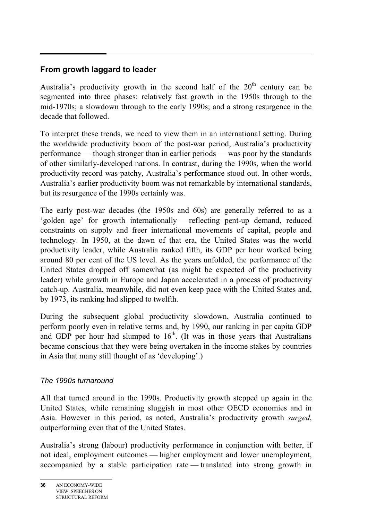# **From growth laggard to leader**

Australia's productivity growth in the second half of the  $20<sup>th</sup>$  century can be segmented into three phases: relatively fast growth in the 1950s through to the mid-1970s; a slowdown through to the early 1990s; and a strong resurgence in the decade that followed.

To interpret these trends, we need to view them in an international setting. During the worldwide productivity boom of the post-war period, Australia's productivity performance — though stronger than in earlier periods — was poor by the standards of other similarly-developed nations. In contrast, during the 1990s, when the world productivity record was patchy, Australia's performance stood out. In other words, Australia's earlier productivity boom was not remarkable by international standards, but its resurgence of the 1990s certainly was.

The early post-war decades (the 1950s and 60s) are generally referred to as a 'golden age' for growth internationally — reflecting pent-up demand, reduced constraints on supply and freer international movements of capital, people and technology. In 1950, at the dawn of that era, the United States was the world productivity leader, while Australia ranked fifth, its GDP per hour worked being around 80 per cent of the US level. As the years unfolded, the performance of the United States dropped off somewhat (as might be expected of the productivity leader) while growth in Europe and Japan accelerated in a process of productivity catch-up. Australia, meanwhile, did not even keep pace with the United States and, by 1973, its ranking had slipped to twelfth.

During the subsequent global productivity slowdown, Australia continued to perform poorly even in relative terms and, by 1990, our ranking in per capita GDP and GDP per hour had slumped to  $16<sup>th</sup>$ . (It was in those years that Australians became conscious that they were being overtaken in the income stakes by countries in Asia that many still thought of as 'developing'.)

# *The 1990s turnaround*

All that turned around in the 1990s. Productivity growth stepped up again in the United States, while remaining sluggish in most other OECD economies and in Asia. However in this period, as noted, Australia's productivity growth *surged*, outperforming even that of the United States.

Australia's strong (labour) productivity performance in conjunction with better, if not ideal, employment outcomes — higher employment and lower unemployment, accompanied by a stable participation rate — translated into strong growth in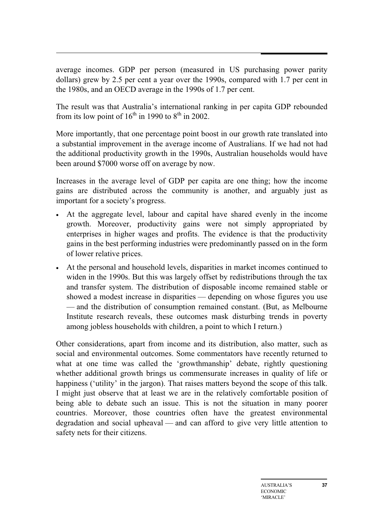average incomes. GDP per person (measured in US purchasing power parity dollars) grew by 2.5 per cent a year over the 1990s, compared with 1.7 per cent in the 1980s, and an OECD average in the 1990s of 1.7 per cent.

The result was that Australia's international ranking in per capita GDP rebounded from its low point of  $16<sup>th</sup>$  in 1990 to  $8<sup>th</sup>$  in 2002.

More importantly, that one percentage point boost in our growth rate translated into a substantial improvement in the average income of Australians. If we had not had the additional productivity growth in the 1990s, Australian households would have been around \$7000 worse off on average by now.

Increases in the average level of GDP per capita are one thing; how the income gains are distributed across the community is another, and arguably just as important for a society's progress.

- At the aggregate level, labour and capital have shared evenly in the income growth. Moreover, productivity gains were not simply appropriated by enterprises in higher wages and profits. The evidence is that the productivity gains in the best performing industries were predominantly passed on in the form of lower relative prices.
- At the personal and household levels, disparities in market incomes continued to widen in the 1990s. But this was largely offset by redistributions through the tax and transfer system. The distribution of disposable income remained stable or showed a modest increase in disparities — depending on whose figures you use — and the distribution of consumption remained constant. (But, as Melbourne Institute research reveals, these outcomes mask disturbing trends in poverty among jobless households with children, a point to which I return.)

Other considerations, apart from income and its distribution, also matter, such as social and environmental outcomes. Some commentators have recently returned to what at one time was called the 'growthmanship' debate, rightly questioning whether additional growth brings us commensurate increases in quality of life or happiness ('utility' in the jargon). That raises matters beyond the scope of this talk. I might just observe that at least we are in the relatively comfortable position of being able to debate such an issue. This is not the situation in many poorer countries. Moreover, those countries often have the greatest environmental degradation and social upheaval — and can afford to give very little attention to safety nets for their citizens.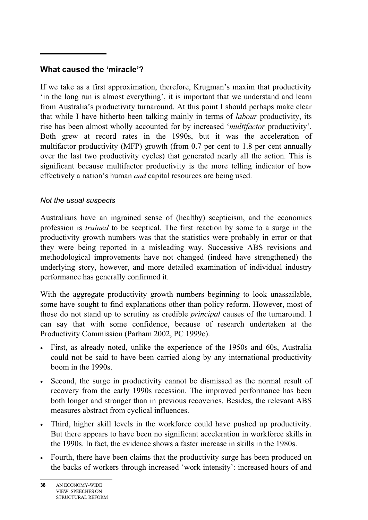# **What caused the 'miracle'?**

If we take as a first approximation, therefore, Krugman's maxim that productivity 'in the long run is almost everything', it is important that we understand and learn from Australia's productivity turnaround. At this point I should perhaps make clear that while I have hitherto been talking mainly in terms of *labour* productivity, its rise has been almost wholly accounted for by increased '*multifactor* productivity'. Both grew at record rates in the 1990s, but it was the acceleration of multifactor productivity (MFP) growth (from 0.7 per cent to 1.8 per cent annually over the last two productivity cycles) that generated nearly all the action. This is significant because multifactor productivity is the more telling indicator of how effectively a nation's human *and* capital resources are being used.

## *Not the usual suspects*

Australians have an ingrained sense of (healthy) scepticism, and the economics profession is *trained* to be sceptical. The first reaction by some to a surge in the productivity growth numbers was that the statistics were probably in error or that they were being reported in a misleading way. Successive ABS revisions and methodological improvements have not changed (indeed have strengthened) the underlying story, however, and more detailed examination of individual industry performance has generally confirmed it.

With the aggregate productivity growth numbers beginning to look unassailable, some have sought to find explanations other than policy reform. However, most of those do not stand up to scrutiny as credible *principal* causes of the turnaround. I can say that with some confidence, because of research undertaken at the Productivity Commission (Parham 2002, PC 1999c).

- First, as already noted, unlike the experience of the 1950s and 60s, Australia could not be said to have been carried along by any international productivity boom in the 1990s.
- Second, the surge in productivity cannot be dismissed as the normal result of recovery from the early 1990s recession. The improved performance has been both longer and stronger than in previous recoveries. Besides, the relevant ABS measures abstract from cyclical influences.
- Third, higher skill levels in the workforce could have pushed up productivity. But there appears to have been no significant acceleration in workforce skills in the 1990s. In fact, the evidence shows a faster increase in skills in the 1980s.
- Fourth, there have been claims that the productivity surge has been produced on the backs of workers through increased 'work intensity': increased hours of and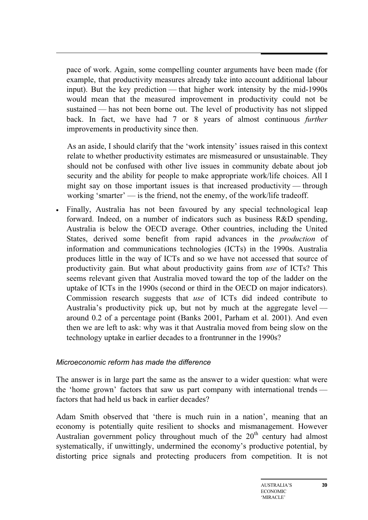pace of work. Again, some compelling counter arguments have been made (for example, that productivity measures already take into account additional labour input). But the key prediction — that higher work intensity by the mid-1990s would mean that the measured improvement in productivity could not be sustained — has not been borne out. The level of productivity has not slipped back. In fact, we have had 7 or 8 years of almost continuous *further* improvements in productivity since then.

As an aside, I should clarify that the 'work intensity' issues raised in this context relate to whether productivity estimates are mismeasured or unsustainable. They should not be confused with other live issues in community debate about job security and the ability for people to make appropriate work/life choices. All I might say on those important issues is that increased productivity — through working 'smarter' — is the friend, not the enemy, of the work/life tradeoff.

• Finally, Australia has not been favoured by any special technological leap forward. Indeed, on a number of indicators such as business R&D spending, Australia is below the OECD average. Other countries, including the United States, derived some benefit from rapid advances in the *production* of information and communications technologies (ICTs) in the 1990s. Australia produces little in the way of ICTs and so we have not accessed that source of productivity gain. But what about productivity gains from *use* of ICTs? This seems relevant given that Australia moved toward the top of the ladder on the uptake of ICTs in the 1990s (second or third in the OECD on major indicators). Commission research suggests that *use* of ICTs did indeed contribute to Australia's productivity pick up, but not by much at the aggregate level around 0.2 of a percentage point (Banks 2001, Parham et al. 2001). And even then we are left to ask: why was it that Australia moved from being slow on the technology uptake in earlier decades to a frontrunner in the 1990s?

### *Microeconomic reform has made the difference*

The answer is in large part the same as the answer to a wider question: what were the 'home grown' factors that saw us part company with international trends factors that had held us back in earlier decades?

Adam Smith observed that 'there is much ruin in a nation', meaning that an economy is potentially quite resilient to shocks and mismanagement. However Australian government policy throughout much of the  $20<sup>th</sup>$  century had almost systematically, if unwittingly, undermined the economy's productive potential, by distorting price signals and protecting producers from competition. It is not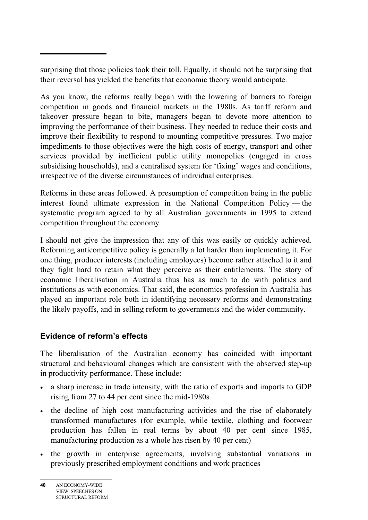surprising that those policies took their toll. Equally, it should not be surprising that their reversal has yielded the benefits that economic theory would anticipate.

As you know, the reforms really began with the lowering of barriers to foreign competition in goods and financial markets in the 1980s. As tariff reform and takeover pressure began to bite, managers began to devote more attention to improving the performance of their business. They needed to reduce their costs and improve their flexibility to respond to mounting competitive pressures. Two major impediments to those objectives were the high costs of energy, transport and other services provided by inefficient public utility monopolies (engaged in cross subsidising households), and a centralised system for 'fixing' wages and conditions, irrespective of the diverse circumstances of individual enterprises.

Reforms in these areas followed. A presumption of competition being in the public interest found ultimate expression in the National Competition Policy — the systematic program agreed to by all Australian governments in 1995 to extend competition throughout the economy.

I should not give the impression that any of this was easily or quickly achieved. Reforming anticompetitive policy is generally a lot harder than implementing it. For one thing, producer interests (including employees) become rather attached to it and they fight hard to retain what they perceive as their entitlements. The story of economic liberalisation in Australia thus has as much to do with politics and institutions as with economics. That said, the economics profession in Australia has played an important role both in identifying necessary reforms and demonstrating the likely payoffs, and in selling reform to governments and the wider community.

# **Evidence of reform's effects**

The liberalisation of the Australian economy has coincided with important structural and behavioural changes which are consistent with the observed step-up in productivity performance. These include:

- a sharp increase in trade intensity, with the ratio of exports and imports to GDP rising from 27 to 44 per cent since the mid-1980s
- the decline of high cost manufacturing activities and the rise of elaborately transformed manufactures (for example, while textile, clothing and footwear production has fallen in real terms by about 40 per cent since 1985, manufacturing production as a whole has risen by 40 per cent)
- the growth in enterprise agreements, involving substantial variations in previously prescribed employment conditions and work practices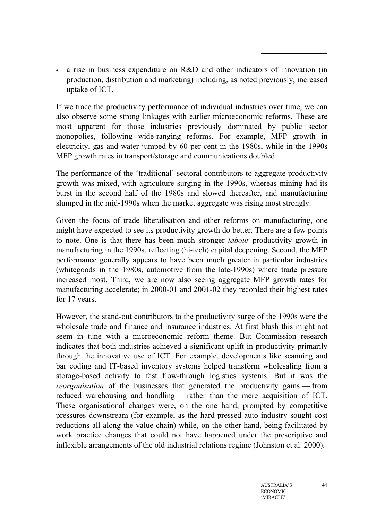• a rise in business expenditure on R&D and other indicators of innovation (in production, distribution and marketing) including, as noted previously, increased uptake of ICT.

If we trace the productivity performance of individual industries over time, we can also observe some strong linkages with earlier microeconomic reforms. These are most apparent for those industries previously dominated by public sector monopolies, following wide-ranging reforms. For example, MFP growth in electricity, gas and water jumped by 60 per cent in the 1980s, while in the 1990s MFP growth rates in transport/storage and communications doubled.

The performance of the 'traditional' sectoral contributors to aggregate productivity growth was mixed, with agriculture surging in the 1990s, whereas mining had its burst in the second half of the 1980s and slowed thereafter, and manufacturing slumped in the mid-1990s when the market aggregate was rising most strongly.

Given the focus of trade liberalisation and other reforms on manufacturing, one might have expected to see its productivity growth do better. There are a few points to note. One is that there has been much stronger *labour* productivity growth in manufacturing in the 1990s, reflecting (hi-tech) capital deepening. Second, the MFP performance generally appears to have been much greater in particular industries (whitegoods in the 1980s, automotive from the late-1990s) where trade pressure increased most. Third, we are now also seeing aggregate MFP growth rates for manufacturing accelerate; in 2000-01 and 2001-02 they recorded their highest rates for 17 years.

However, the stand-out contributors to the productivity surge of the 1990s were the wholesale trade and finance and insurance industries. At first blush this might not seem in tune with a microeconomic reform theme. But Commission research indicates that both industries achieved a significant uplift in productivity primarily through the innovative use of ICT. For example, developments like scanning and bar coding and IT-based inventory systems helped transform wholesaling from a storage-based activity to fast flow-through logistics systems. But it was the *reorganisation* of the businesses that generated the productivity gains — from reduced warehousing and handling — rather than the mere acquisition of ICT. These organisational changes were, on the one hand, prompted by competitive pressures downstream (for example, as the hard-pressed auto industry sought cost reductions all along the value chain) while, on the other hand, being facilitated by work practice changes that could not have happened under the prescriptive and inflexible arrangements of the old industrial relations regime (Johnston et al. 2000).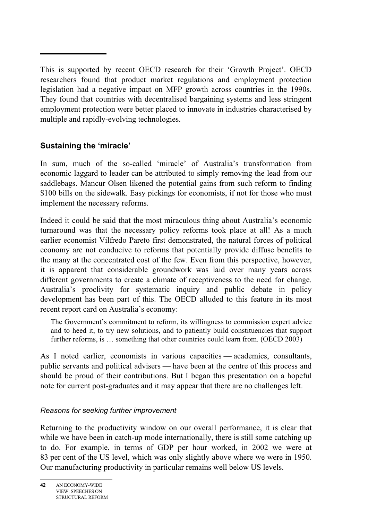This is supported by recent OECD research for their 'Growth Project'. OECD researchers found that product market regulations and employment protection legislation had a negative impact on MFP growth across countries in the 1990s. They found that countries with decentralised bargaining systems and less stringent employment protection were better placed to innovate in industries characterised by multiple and rapidly-evolving technologies.

# **Sustaining the 'miracle'**

In sum, much of the so-called 'miracle' of Australia's transformation from economic laggard to leader can be attributed to simply removing the lead from our saddlebags. Mancur Olsen likened the potential gains from such reform to finding \$100 bills on the sidewalk. Easy pickings for economists, if not for those who must implement the necessary reforms.

Indeed it could be said that the most miraculous thing about Australia's economic turnaround was that the necessary policy reforms took place at all! As a much earlier economist Vilfredo Pareto first demonstrated, the natural forces of political economy are not conducive to reforms that potentially provide diffuse benefits to the many at the concentrated cost of the few. Even from this perspective, however, it is apparent that considerable groundwork was laid over many years across different governments to create a climate of receptiveness to the need for change. Australia's proclivity for systematic inquiry and public debate in policy development has been part of this. The OECD alluded to this feature in its most recent report card on Australia's economy:

The Government's commitment to reform, its willingness to commission expert advice and to heed it, to try new solutions, and to patiently build constituencies that support further reforms, is ... something that other countries could learn from. (OECD 2003)

As I noted earlier, economists in various capacities — academics, consultants, public servants and political advisers — have been at the centre of this process and should be proud of their contributions. But I began this presentation on a hopeful note for current post-graduates and it may appear that there are no challenges left.

# *Reasons for seeking further improvement*

Returning to the productivity window on our overall performance, it is clear that while we have been in catch-up mode internationally, there is still some catching up to do. For example, in terms of GDP per hour worked, in 2002 we were at 83 per cent of the US level, which was only slightly above where we were in 1950. Our manufacturing productivity in particular remains well below US levels.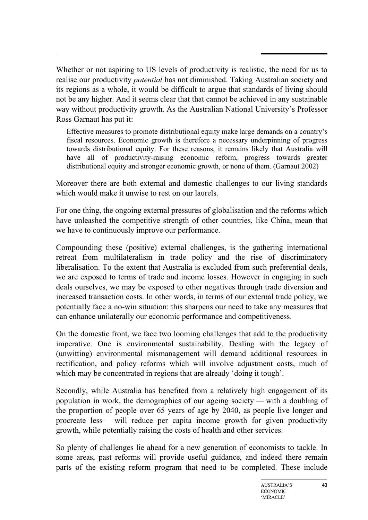Whether or not aspiring to US levels of productivity is realistic, the need for us to realise our productivity *potential* has not diminished. Taking Australian society and its regions as a whole, it would be difficult to argue that standards of living should not be any higher. And it seems clear that that cannot be achieved in any sustainable way without productivity growth. As the Australian National University's Professor Ross Garnaut has put it:

Effective measures to promote distributional equity make large demands on a country's fiscal resources. Economic growth is therefore a necessary underpinning of progress towards distributional equity. For these reasons, it remains likely that Australia will have all of productivity-raising economic reform, progress towards greater distributional equity and stronger economic growth, or none of them. (Garnaut 2002)

Moreover there are both external and domestic challenges to our living standards which would make it unwise to rest on our laurels.

For one thing, the ongoing external pressures of globalisation and the reforms which have unleashed the competitive strength of other countries, like China, mean that we have to continuously improve our performance.

Compounding these (positive) external challenges, is the gathering international retreat from multilateralism in trade policy and the rise of discriminatory liberalisation. To the extent that Australia is excluded from such preferential deals, we are exposed to terms of trade and income losses. However in engaging in such deals ourselves, we may be exposed to other negatives through trade diversion and increased transaction costs. In other words, in terms of our external trade policy, we potentially face a no-win situation: this sharpens our need to take any measures that can enhance unilaterally our economic performance and competitiveness.

On the domestic front, we face two looming challenges that add to the productivity imperative. One is environmental sustainability. Dealing with the legacy of (unwitting) environmental mismanagement will demand additional resources in rectification, and policy reforms which will involve adjustment costs, much of which may be concentrated in regions that are already 'doing it tough'.

Secondly, while Australia has benefited from a relatively high engagement of its population in work, the demographics of our ageing society — with a doubling of the proportion of people over 65 years of age by 2040, as people live longer and procreate less — will reduce per capita income growth for given productivity growth, while potentially raising the costs of health and other services.

So plenty of challenges lie ahead for a new generation of economists to tackle. In some areas, past reforms will provide useful guidance, and indeed there remain parts of the existing reform program that need to be completed. These include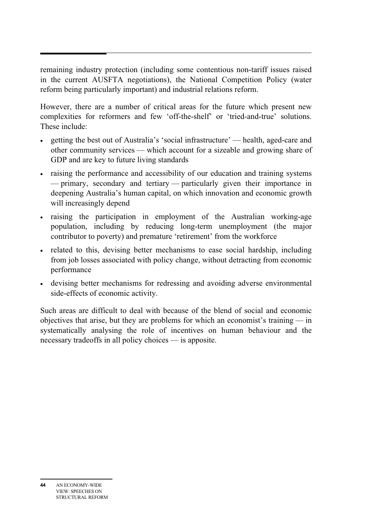remaining industry protection (including some contentious non-tariff issues raised in the current AUSFTA negotiations), the National Competition Policy (water reform being particularly important) and industrial relations reform.

However, there are a number of critical areas for the future which present new complexities for reformers and few 'off-the-shelf' or 'tried-and-true' solutions. These include:

- getting the best out of Australia's 'social infrastructure' health, aged-care and other community services — which account for a sizeable and growing share of GDP and are key to future living standards
- raising the performance and accessibility of our education and training systems — primary, secondary and tertiary — particularly given their importance in deepening Australia's human capital, on which innovation and economic growth will increasingly depend
- raising the participation in employment of the Australian working-age population, including by reducing long-term unemployment (the major contributor to poverty) and premature 'retirement' from the workforce
- related to this, devising better mechanisms to ease social hardship, including from job losses associated with policy change, without detracting from economic performance
- devising better mechanisms for redressing and avoiding adverse environmental side-effects of economic activity.

Such areas are difficult to deal with because of the blend of social and economic objectives that arise, but they are problems for which an economist's training — in systematically analysing the role of incentives on human behaviour and the necessary tradeoffs in all policy choices — is apposite.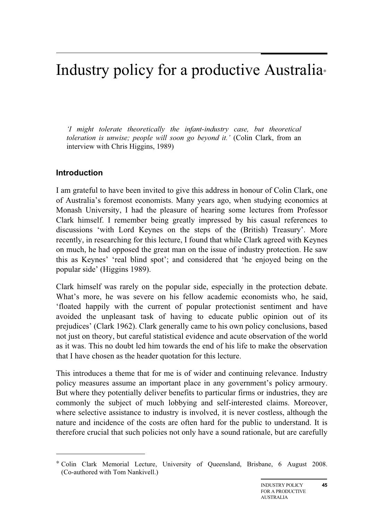# Industry policy for a productive Australia<sup>∗</sup>

*'I might tolerate theoretically the infant-industry case, but theoretical toleration is unwise; people will soon go beyond it.'* (Colin Clark, from an interview with Chris Higgins, 1989)

## **Introduction**

 $\overline{a}$ 

I am grateful to have been invited to give this address in honour of Colin Clark, one of Australia's foremost economists. Many years ago, when studying economics at Monash University, I had the pleasure of hearing some lectures from Professor Clark himself. I remember being greatly impressed by his casual references to discussions 'with Lord Keynes on the steps of the (British) Treasury'. More recently, in researching for this lecture, I found that while Clark agreed with Keynes on much, he had opposed the great man on the issue of industry protection. He saw this as Keynes' 'real blind spot'; and considered that 'he enjoyed being on the popular side' (Higgins 1989).

Clark himself was rarely on the popular side, especially in the protection debate. What's more, he was severe on his fellow academic economists who, he said, 'floated happily with the current of popular protectionist sentiment and have avoided the unpleasant task of having to educate public opinion out of its prejudices' (Clark 1962). Clark generally came to his own policy conclusions, based not just on theory, but careful statistical evidence and acute observation of the world as it was. This no doubt led him towards the end of his life to make the observation that I have chosen as the header quotation for this lecture.

This introduces a theme that for me is of wider and continuing relevance. Industry policy measures assume an important place in any government's policy armoury. But where they potentially deliver benefits to particular firms or industries, they are commonly the subject of much lobbying and self-interested claims. Moreover, where selective assistance to industry is involved, it is never costless, although the nature and incidence of the costs are often hard for the public to understand. It is therefore crucial that such policies not only have a sound rationale, but are carefully

<sup>∗</sup> Colin Clark Memorial Lecture, University of Queensland, Brisbane, 6 August 2008. (Co-authored with Tom Nankivell.)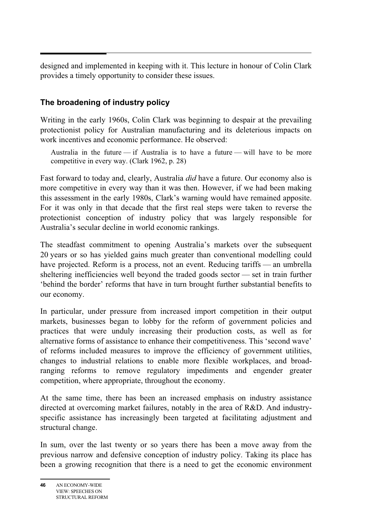designed and implemented in keeping with it. This lecture in honour of Colin Clark provides a timely opportunity to consider these issues.

# **The broadening of industry policy**

Writing in the early 1960s, Colin Clark was beginning to despair at the prevailing protectionist policy for Australian manufacturing and its deleterious impacts on work incentives and economic performance. He observed:

Australia in the future — if Australia is to have a future — will have to be more competitive in every way. (Clark 1962, p. 28)

Fast forward to today and, clearly, Australia *did* have a future. Our economy also is more competitive in every way than it was then. However, if we had been making this assessment in the early 1980s, Clark's warning would have remained apposite. For it was only in that decade that the first real steps were taken to reverse the protectionist conception of industry policy that was largely responsible for Australia's secular decline in world economic rankings.

The steadfast commitment to opening Australia's markets over the subsequent 20 years or so has yielded gains much greater than conventional modelling could have projected. Reform is a process, not an event. Reducing tariffs — an umbrella sheltering inefficiencies well beyond the traded goods sector — set in train further 'behind the border' reforms that have in turn brought further substantial benefits to our economy.

In particular, under pressure from increased import competition in their output markets, businesses began to lobby for the reform of government policies and practices that were unduly increasing their production costs, as well as for alternative forms of assistance to enhance their competitiveness. This 'second wave' of reforms included measures to improve the efficiency of government utilities, changes to industrial relations to enable more flexible workplaces, and broadranging reforms to remove regulatory impediments and engender greater competition, where appropriate, throughout the economy.

At the same time, there has been an increased emphasis on industry assistance directed at overcoming market failures, notably in the area of R&D. And industryspecific assistance has increasingly been targeted at facilitating adjustment and structural change.

In sum, over the last twenty or so years there has been a move away from the previous narrow and defensive conception of industry policy. Taking its place has been a growing recognition that there is a need to get the economic environment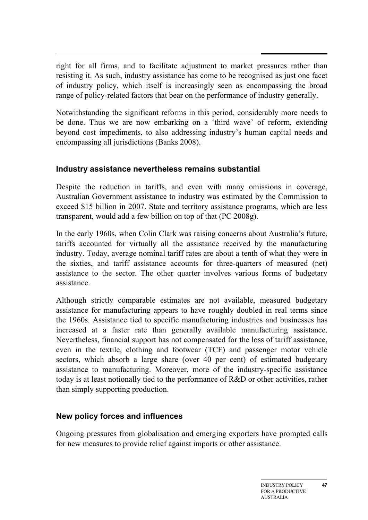right for all firms, and to facilitate adjustment to market pressures rather than resisting it. As such, industry assistance has come to be recognised as just one facet of industry policy, which itself is increasingly seen as encompassing the broad range of policy-related factors that bear on the performance of industry generally.

Notwithstanding the significant reforms in this period, considerably more needs to be done. Thus we are now embarking on a 'third wave' of reform, extending beyond cost impediments, to also addressing industry's human capital needs and encompassing all jurisdictions (Banks 2008).

## **Industry assistance nevertheless remains substantial**

Despite the reduction in tariffs, and even with many omissions in coverage, Australian Government assistance to industry was estimated by the Commission to exceed \$15 billion in 2007. State and territory assistance programs, which are less transparent, would add a few billion on top of that (PC 2008g).

In the early 1960s, when Colin Clark was raising concerns about Australia's future, tariffs accounted for virtually all the assistance received by the manufacturing industry. Today, average nominal tariff rates are about a tenth of what they were in the sixties, and tariff assistance accounts for three-quarters of measured (net) assistance to the sector. The other quarter involves various forms of budgetary assistance.

Although strictly comparable estimates are not available, measured budgetary assistance for manufacturing appears to have roughly doubled in real terms since the 1960s. Assistance tied to specific manufacturing industries and businesses has increased at a faster rate than generally available manufacturing assistance. Nevertheless, financial support has not compensated for the loss of tariff assistance, even in the textile, clothing and footwear (TCF) and passenger motor vehicle sectors, which absorb a large share (over 40 per cent) of estimated budgetary assistance to manufacturing. Moreover, more of the industry-specific assistance today is at least notionally tied to the performance of R&D or other activities, rather than simply supporting production.

## **New policy forces and influences**

Ongoing pressures from globalisation and emerging exporters have prompted calls for new measures to provide relief against imports or other assistance.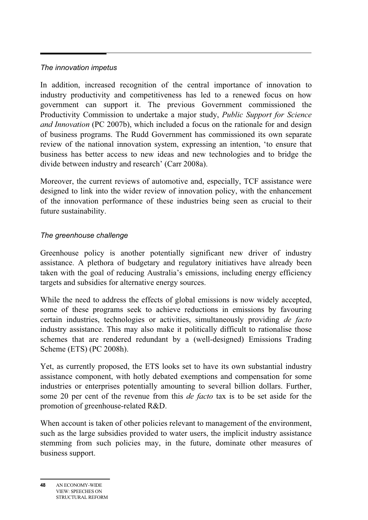## *The innovation impetus*

In addition, increased recognition of the central importance of innovation to industry productivity and competitiveness has led to a renewed focus on how government can support it. The previous Government commissioned the Productivity Commission to undertake a major study, *Public Support for Science and Innovation* (PC 2007b), which included a focus on the rationale for and design of business programs. The Rudd Government has commissioned its own separate review of the national innovation system, expressing an intention, 'to ensure that business has better access to new ideas and new technologies and to bridge the divide between industry and research' (Carr 2008a).

Moreover, the current reviews of automotive and, especially, TCF assistance were designed to link into the wider review of innovation policy, with the enhancement of the innovation performance of these industries being seen as crucial to their future sustainability.

## *The greenhouse challenge*

Greenhouse policy is another potentially significant new driver of industry assistance. A plethora of budgetary and regulatory initiatives have already been taken with the goal of reducing Australia's emissions, including energy efficiency targets and subsidies for alternative energy sources.

While the need to address the effects of global emissions is now widely accepted, some of these programs seek to achieve reductions in emissions by favouring certain industries, technologies or activities, simultaneously providing *de facto* industry assistance. This may also make it politically difficult to rationalise those schemes that are rendered redundant by a (well-designed) Emissions Trading Scheme (ETS) (PC 2008h).

Yet, as currently proposed, the ETS looks set to have its own substantial industry assistance component, with hotly debated exemptions and compensation for some industries or enterprises potentially amounting to several billion dollars. Further, some 20 per cent of the revenue from this *de facto* tax is to be set aside for the promotion of greenhouse-related R&D.

When account is taken of other policies relevant to management of the environment, such as the large subsidies provided to water users, the implicit industry assistance stemming from such policies may, in the future, dominate other measures of business support.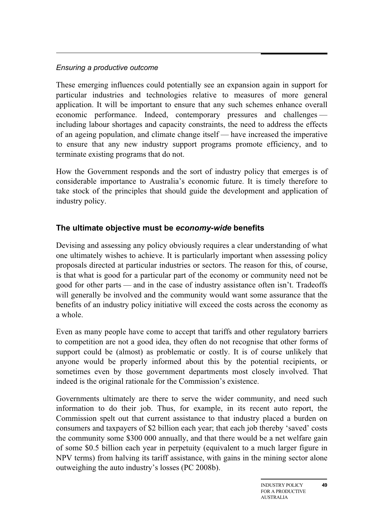## *Ensuring a productive outcome*

These emerging influences could potentially see an expansion again in support for particular industries and technologies relative to measures of more general application. It will be important to ensure that any such schemes enhance overall economic performance. Indeed, contemporary pressures and challenges including labour shortages and capacity constraints, the need to address the effects of an ageing population, and climate change itself — have increased the imperative to ensure that any new industry support programs promote efficiency, and to terminate existing programs that do not.

How the Government responds and the sort of industry policy that emerges is of considerable importance to Australia's economic future. It is timely therefore to take stock of the principles that should guide the development and application of industry policy.

# **The ultimate objective must be** *economy-wide* **benefits**

Devising and assessing any policy obviously requires a clear understanding of what one ultimately wishes to achieve. It is particularly important when assessing policy proposals directed at particular industries or sectors. The reason for this, of course, is that what is good for a particular part of the economy or community need not be good for other parts — and in the case of industry assistance often isn't. Tradeoffs will generally be involved and the community would want some assurance that the benefits of an industry policy initiative will exceed the costs across the economy as a whole.

Even as many people have come to accept that tariffs and other regulatory barriers to competition are not a good idea, they often do not recognise that other forms of support could be (almost) as problematic or costly. It is of course unlikely that anyone would be properly informed about this by the potential recipients, or sometimes even by those government departments most closely involved. That indeed is the original rationale for the Commission's existence.

Governments ultimately are there to serve the wider community, and need such information to do their job. Thus, for example, in its recent auto report, the Commission spelt out that current assistance to that industry placed a burden on consumers and taxpayers of \$2 billion each year; that each job thereby 'saved' costs the community some \$300 000 annually, and that there would be a net welfare gain of some \$0.5 billion each year in perpetuity (equivalent to a much larger figure in NPV terms) from halving its tariff assistance, with gains in the mining sector alone outweighing the auto industry's losses (PC 2008b).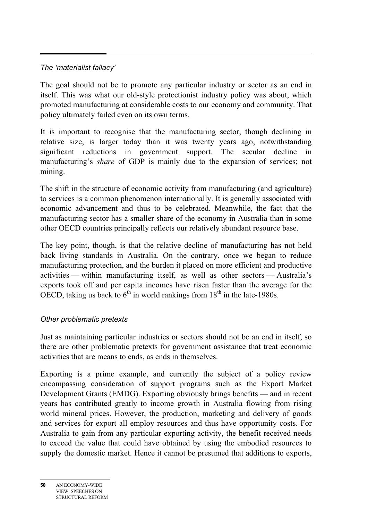## *The 'materialist fallacy'*

The goal should not be to promote any particular industry or sector as an end in itself. This was what our old-style protectionist industry policy was about, which promoted manufacturing at considerable costs to our economy and community. That policy ultimately failed even on its own terms.

It is important to recognise that the manufacturing sector, though declining in relative size, is larger today than it was twenty years ago, notwithstanding significant reductions in government support. The secular decline in manufacturing's *share* of GDP is mainly due to the expansion of services; not mining.

The shift in the structure of economic activity from manufacturing (and agriculture) to services is a common phenomenon internationally. It is generally associated with economic advancement and thus to be celebrated. Meanwhile, the fact that the manufacturing sector has a smaller share of the economy in Australia than in some other OECD countries principally reflects our relatively abundant resource base.

The key point, though, is that the relative decline of manufacturing has not held back living standards in Australia. On the contrary, once we began to reduce manufacturing protection, and the burden it placed on more efficient and productive activities — within manufacturing itself, as well as other sectors — Australia's exports took off and per capita incomes have risen faster than the average for the OECD, taking us back to  $6<sup>th</sup>$  in world rankings from  $18<sup>th</sup>$  in the late-1980s.

## *Other problematic pretexts*

Just as maintaining particular industries or sectors should not be an end in itself, so there are other problematic pretexts for government assistance that treat economic activities that are means to ends, as ends in themselves.

Exporting is a prime example, and currently the subject of a policy review encompassing consideration of support programs such as the Export Market Development Grants (EMDG). Exporting obviously brings benefits — and in recent years has contributed greatly to income growth in Australia flowing from rising world mineral prices. However, the production, marketing and delivery of goods and services for export all employ resources and thus have opportunity costs. For Australia to gain from any particular exporting activity, the benefit received needs to exceed the value that could have obtained by using the embodied resources to supply the domestic market. Hence it cannot be presumed that additions to exports,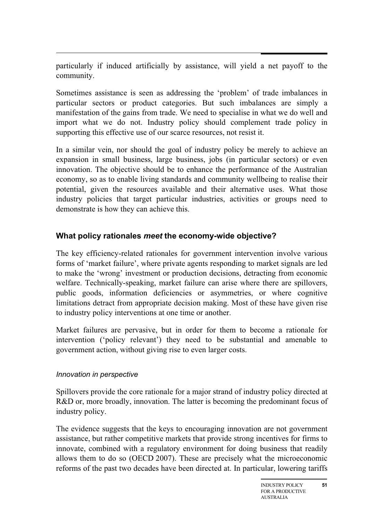particularly if induced artificially by assistance, will yield a net payoff to the community.

Sometimes assistance is seen as addressing the 'problem' of trade imbalances in particular sectors or product categories. But such imbalances are simply a manifestation of the gains from trade. We need to specialise in what we do well and import what we do not. Industry policy should complement trade policy in supporting this effective use of our scarce resources, not resist it.

In a similar vein, nor should the goal of industry policy be merely to achieve an expansion in small business, large business, jobs (in particular sectors) or even innovation. The objective should be to enhance the performance of the Australian economy, so as to enable living standards and community wellbeing to realise their potential, given the resources available and their alternative uses. What those industry policies that target particular industries, activities or groups need to demonstrate is how they can achieve this.

## **What policy rationales** *meet* **the economy-wide objective?**

The key efficiency-related rationales for government intervention involve various forms of 'market failure', where private agents responding to market signals are led to make the 'wrong' investment or production decisions, detracting from economic welfare. Technically-speaking, market failure can arise where there are spillovers, public goods, information deficiencies or asymmetries, or where cognitive limitations detract from appropriate decision making. Most of these have given rise to industry policy interventions at one time or another.

Market failures are pervasive, but in order for them to become a rationale for intervention ('policy relevant') they need to be substantial and amenable to government action, without giving rise to even larger costs.

## *Innovation in perspective*

Spillovers provide the core rationale for a major strand of industry policy directed at R&D or, more broadly, innovation. The latter is becoming the predominant focus of industry policy.

The evidence suggests that the keys to encouraging innovation are not government assistance, but rather competitive markets that provide strong incentives for firms to innovate, combined with a regulatory environment for doing business that readily allows them to do so (OECD 2007). These are precisely what the microeconomic reforms of the past two decades have been directed at. In particular, lowering tariffs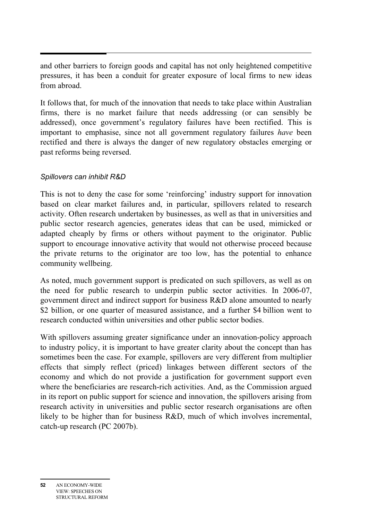and other barriers to foreign goods and capital has not only heightened competitive pressures, it has been a conduit for greater exposure of local firms to new ideas from abroad.

It follows that, for much of the innovation that needs to take place within Australian firms, there is no market failure that needs addressing (or can sensibly be addressed), once government's regulatory failures have been rectified. This is important to emphasise, since not all government regulatory failures *have* been rectified and there is always the danger of new regulatory obstacles emerging or past reforms being reversed.

## *Spillovers can inhibit R&D*

This is not to deny the case for some 'reinforcing' industry support for innovation based on clear market failures and, in particular, spillovers related to research activity. Often research undertaken by businesses, as well as that in universities and public sector research agencies, generates ideas that can be used, mimicked or adapted cheaply by firms or others without payment to the originator. Public support to encourage innovative activity that would not otherwise proceed because the private returns to the originator are too low, has the potential to enhance community wellbeing.

As noted, much government support is predicated on such spillovers, as well as on the need for public research to underpin public sector activities. In 2006-07, government direct and indirect support for business R&D alone amounted to nearly \$2 billion, or one quarter of measured assistance, and a further \$4 billion went to research conducted within universities and other public sector bodies.

With spillovers assuming greater significance under an innovation-policy approach to industry policy, it is important to have greater clarity about the concept than has sometimes been the case. For example, spillovers are very different from multiplier effects that simply reflect (priced) linkages between different sectors of the economy and which do not provide a justification for government support even where the beneficiaries are research-rich activities. And, as the Commission argued in its report on public support for science and innovation, the spillovers arising from research activity in universities and public sector research organisations are often likely to be higher than for business R&D, much of which involves incremental, catch-up research (PC 2007b).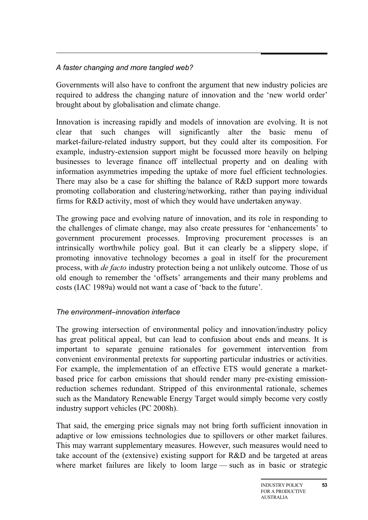## *A faster changing and more tangled web?*

Governments will also have to confront the argument that new industry policies are required to address the changing nature of innovation and the 'new world order' brought about by globalisation and climate change.

Innovation is increasing rapidly and models of innovation are evolving. It is not clear that such changes will significantly alter the basic menu of market-failure-related industry support, but they could alter its composition. For example, industry-extension support might be focussed more heavily on helping businesses to leverage finance off intellectual property and on dealing with information asymmetries impeding the uptake of more fuel efficient technologies. There may also be a case for shifting the balance of R&D support more towards promoting collaboration and clustering/networking, rather than paying individual firms for R&D activity, most of which they would have undertaken anyway.

The growing pace and evolving nature of innovation, and its role in responding to the challenges of climate change, may also create pressures for 'enhancements' to government procurement processes. Improving procurement processes is an intrinsically worthwhile policy goal. But it can clearly be a slippery slope, if promoting innovative technology becomes a goal in itself for the procurement process, with *de facto* industry protection being a not unlikely outcome. Those of us old enough to remember the 'offsets' arrangements and their many problems and costs (IAC 1989a) would not want a case of 'back to the future'.

# *The environment–innovation interface*

The growing intersection of environmental policy and innovation/industry policy has great political appeal, but can lead to confusion about ends and means. It is important to separate genuine rationales for government intervention from convenient environmental pretexts for supporting particular industries or activities. For example, the implementation of an effective ETS would generate a marketbased price for carbon emissions that should render many pre-existing emissionreduction schemes redundant. Stripped of this environmental rationale, schemes such as the Mandatory Renewable Energy Target would simply become very costly industry support vehicles (PC 2008h).

That said, the emerging price signals may not bring forth sufficient innovation in adaptive or low emissions technologies due to spillovers or other market failures. This may warrant supplementary measures. However, such measures would need to take account of the (extensive) existing support for R&D and be targeted at areas where market failures are likely to loom large — such as in basic or strategic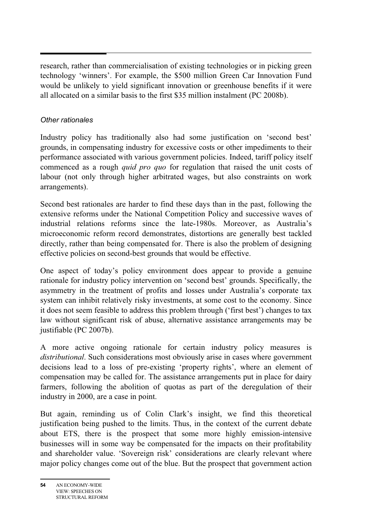research, rather than commercialisation of existing technologies or in picking green technology 'winners'. For example, the \$500 million Green Car Innovation Fund would be unlikely to yield significant innovation or greenhouse benefits if it were all allocated on a similar basis to the first \$35 million instalment (PC 2008b).

## *Other rationales*

Industry policy has traditionally also had some justification on 'second best' grounds, in compensating industry for excessive costs or other impediments to their performance associated with various government policies. Indeed, tariff policy itself commenced as a rough *quid pro quo* for regulation that raised the unit costs of labour (not only through higher arbitrated wages, but also constraints on work arrangements).

Second best rationales are harder to find these days than in the past, following the extensive reforms under the National Competition Policy and successive waves of industrial relations reforms since the late-1980s. Moreover, as Australia's microeconomic reform record demonstrates, distortions are generally best tackled directly, rather than being compensated for. There is also the problem of designing effective policies on second-best grounds that would be effective.

One aspect of today's policy environment does appear to provide a genuine rationale for industry policy intervention on 'second best' grounds. Specifically, the asymmetry in the treatment of profits and losses under Australia's corporate tax system can inhibit relatively risky investments, at some cost to the economy. Since it does not seem feasible to address this problem through ('first best') changes to tax law without significant risk of abuse, alternative assistance arrangements may be justifiable (PC 2007b).

A more active ongoing rationale for certain industry policy measures is *distributional*. Such considerations most obviously arise in cases where government decisions lead to a loss of pre-existing 'property rights', where an element of compensation may be called for. The assistance arrangements put in place for dairy farmers, following the abolition of quotas as part of the deregulation of their industry in 2000, are a case in point.

But again, reminding us of Colin Clark's insight, we find this theoretical justification being pushed to the limits. Thus, in the context of the current debate about ETS, there is the prospect that some more highly emission-intensive businesses will in some way be compensated for the impacts on their profitability and shareholder value. 'Sovereign risk' considerations are clearly relevant where major policy changes come out of the blue. But the prospect that government action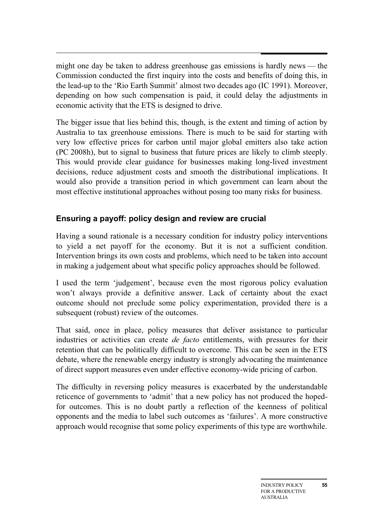might one day be taken to address greenhouse gas emissions is hardly news — the Commission conducted the first inquiry into the costs and benefits of doing this, in the lead-up to the 'Rio Earth Summit' almost two decades ago (IC 1991). Moreover, depending on how such compensation is paid, it could delay the adjustments in economic activity that the ETS is designed to drive.

The bigger issue that lies behind this, though, is the extent and timing of action by Australia to tax greenhouse emissions. There is much to be said for starting with very low effective prices for carbon until major global emitters also take action (PC 2008h), but to signal to business that future prices are likely to climb steeply. This would provide clear guidance for businesses making long-lived investment decisions, reduce adjustment costs and smooth the distributional implications. It would also provide a transition period in which government can learn about the most effective institutional approaches without posing too many risks for business.

# **Ensuring a payoff: policy design and review are crucial**

Having a sound rationale is a necessary condition for industry policy interventions to yield a net payoff for the economy. But it is not a sufficient condition. Intervention brings its own costs and problems, which need to be taken into account in making a judgement about what specific policy approaches should be followed.

I used the term 'judgement', because even the most rigorous policy evaluation won't always provide a definitive answer. Lack of certainty about the exact outcome should not preclude some policy experimentation, provided there is a subsequent (robust) review of the outcomes.

That said, once in place, policy measures that deliver assistance to particular industries or activities can create *de facto* entitlements, with pressures for their retention that can be politically difficult to overcome. This can be seen in the ETS debate, where the renewable energy industry is strongly advocating the maintenance of direct support measures even under effective economy-wide pricing of carbon.

The difficulty in reversing policy measures is exacerbated by the understandable reticence of governments to 'admit' that a new policy has not produced the hopedfor outcomes. This is no doubt partly a reflection of the keenness of political opponents and the media to label such outcomes as 'failures'. A more constructive approach would recognise that some policy experiments of this type are worthwhile.

**55**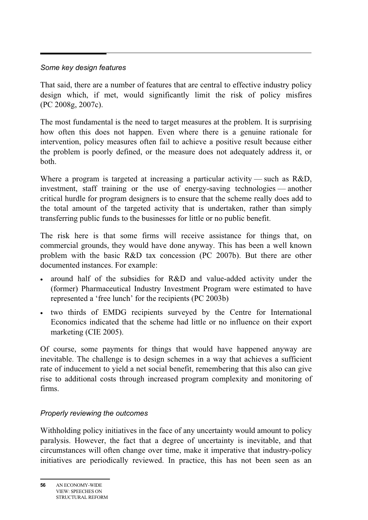## *Some key design features*

That said, there are a number of features that are central to effective industry policy design which, if met, would significantly limit the risk of policy misfires (PC 2008g, 2007c).

The most fundamental is the need to target measures at the problem. It is surprising how often this does not happen. Even where there is a genuine rationale for intervention, policy measures often fail to achieve a positive result because either the problem is poorly defined, or the measure does not adequately address it, or both.

Where a program is targeted at increasing a particular activity — such as  $R&D$ , investment, staff training or the use of energy-saving technologies — another critical hurdle for program designers is to ensure that the scheme really does add to the total amount of the targeted activity that is undertaken, rather than simply transferring public funds to the businesses for little or no public benefit.

The risk here is that some firms will receive assistance for things that, on commercial grounds, they would have done anyway. This has been a well known problem with the basic R&D tax concession (PC 2007b). But there are other documented instances. For example:

- around half of the subsidies for R&D and value-added activity under the (former) Pharmaceutical Industry Investment Program were estimated to have represented a 'free lunch' for the recipients (PC 2003b)
- two thirds of EMDG recipients surveyed by the Centre for International Economics indicated that the scheme had little or no influence on their export marketing (CIE 2005).

Of course, some payments for things that would have happened anyway are inevitable. The challenge is to design schemes in a way that achieves a sufficient rate of inducement to yield a net social benefit, remembering that this also can give rise to additional costs through increased program complexity and monitoring of firms.

## *Properly reviewing the outcomes*

Withholding policy initiatives in the face of any uncertainty would amount to policy paralysis. However, the fact that a degree of uncertainty is inevitable, and that circumstances will often change over time, make it imperative that industry-policy initiatives are periodically reviewed. In practice, this has not been seen as an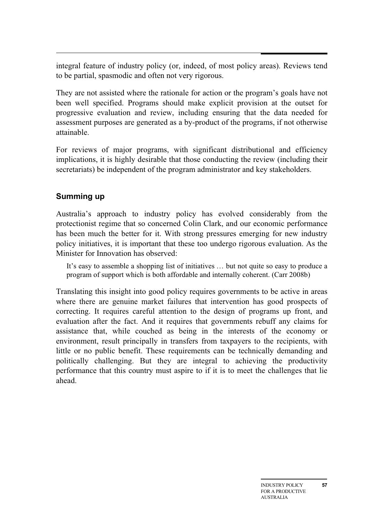$\ddot{\phantom{0}}$ integral feature of industry policy (or, indeed, of most policy areas). Reviews tend to be partial, spasmodic and often not very rigorous.

They are not assisted where the rationale for action or the program's goals have not been well specified. Programs should make explicit provision at the outset for progressive evaluation and review, including ensuring that the data needed for assessment purposes are generated as a by-product of the programs, if not otherwise attainable.

For reviews of major programs, with significant distributional and efficiency implications, it is highly desirable that those conducting the review (including their secretariats) be independent of the program administrator and key stakeholders.

# **Summing up**

Australia's approach to industry policy has evolved considerably from the protectionist regime that so concerned Colin Clark, and our economic performance has been much the better for it. With strong pressures emerging for new industry policy initiatives, it is important that these too undergo rigorous evaluation. As the Minister for Innovation has observed:

It's easy to assemble a shopping list of initiatives … but not quite so easy to produce a program of support which is both affordable and internally coherent. (Carr 2008b)

Translating this insight into good policy requires governments to be active in areas where there are genuine market failures that intervention has good prospects of correcting. It requires careful attention to the design of programs up front, and evaluation after the fact. And it requires that governments rebuff any claims for assistance that, while couched as being in the interests of the economy or environment, result principally in transfers from taxpayers to the recipients, with little or no public benefit. These requirements can be technically demanding and politically challenging. But they are integral to achieving the productivity performance that this country must aspire to if it is to meet the challenges that lie ahead.

**57**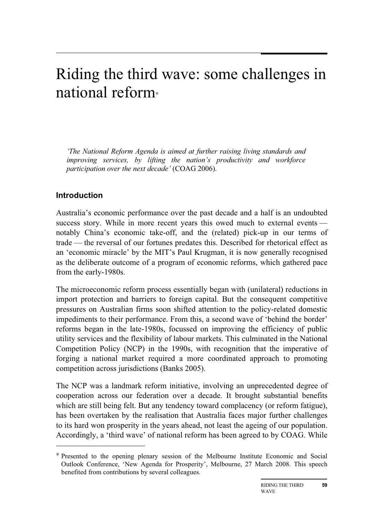# Riding the third wave: some challenges in national reform<sup>∗</sup>

*'The National Reform Agenda is aimed at further raising living standards and improving services, by lifting the nation's productivity and workforce participation over the next decade'* (COAG 2006).

## **Introduction**

 $\overline{a}$ 

Australia's economic performance over the past decade and a half is an undoubted success story. While in more recent years this owed much to external events notably China's economic take-off, and the (related) pick-up in our terms of trade — the reversal of our fortunes predates this. Described for rhetorical effect as an 'economic miracle' by the MIT's Paul Krugman, it is now generally recognised as the deliberate outcome of a program of economic reforms, which gathered pace from the early-1980s.

The microeconomic reform process essentially began with (unilateral) reductions in import protection and barriers to foreign capital. But the consequent competitive pressures on Australian firms soon shifted attention to the policy-related domestic impediments to their performance. From this, a second wave of 'behind the border' reforms began in the late-1980s, focussed on improving the efficiency of public utility services and the flexibility of labour markets. This culminated in the National Competition Policy (NCP) in the 1990s, with recognition that the imperative of forging a national market required a more coordinated approach to promoting competition across jurisdictions (Banks 2005).

The NCP was a landmark reform initiative, involving an unprecedented degree of cooperation across our federation over a decade. It brought substantial benefits which are still being felt. But any tendency toward complacency (or reform fatigue), has been overtaken by the realisation that Australia faces major further challenges to its hard won prosperity in the years ahead, not least the ageing of our population. Accordingly, a 'third wave' of national reform has been agreed to by COAG. While

<sup>∗</sup> Presented to the opening plenary session of the Melbourne Institute Economic and Social Outlook Conference, 'New Agenda for Prosperity', Melbourne, 27 March 2008. This speech benefited from contributions by several colleagues.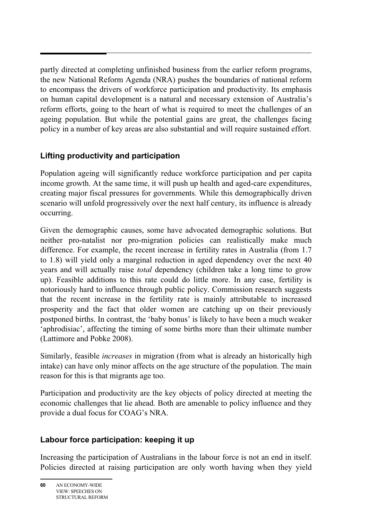partly directed at completing unfinished business from the earlier reform programs, the new National Reform Agenda (NRA) pushes the boundaries of national reform to encompass the drivers of workforce participation and productivity. Its emphasis on human capital development is a natural and necessary extension of Australia's reform efforts, going to the heart of what is required to meet the challenges of an ageing population. But while the potential gains are great, the challenges facing policy in a number of key areas are also substantial and will require sustained effort.

# **Lifting productivity and participation**

Population ageing will significantly reduce workforce participation and per capita income growth. At the same time, it will push up health and aged-care expenditures, creating major fiscal pressures for governments. While this demographically driven scenario will unfold progressively over the next half century, its influence is already occurring.

Given the demographic causes, some have advocated demographic solutions. But neither pro-natalist nor pro-migration policies can realistically make much difference. For example, the recent increase in fertility rates in Australia (from 1.7 to 1.8) will yield only a marginal reduction in aged dependency over the next 40 years and will actually raise *total* dependency (children take a long time to grow up). Feasible additions to this rate could do little more. In any case, fertility is notoriously hard to influence through public policy. Commission research suggests that the recent increase in the fertility rate is mainly attributable to increased prosperity and the fact that older women are catching up on their previously postponed births. In contrast, the 'baby bonus' is likely to have been a much weaker 'aphrodisiac', affecting the timing of some births more than their ultimate number (Lattimore and Pobke 2008).

Similarly, feasible *increases* in migration (from what is already an historically high intake) can have only minor affects on the age structure of the population. The main reason for this is that migrants age too.

Participation and productivity are the key objects of policy directed at meeting the economic challenges that lie ahead. Both are amenable to policy influence and they provide a dual focus for COAG's NRA.

# **Labour force participation: keeping it up**

Increasing the participation of Australians in the labour force is not an end in itself. Policies directed at raising participation are only worth having when they yield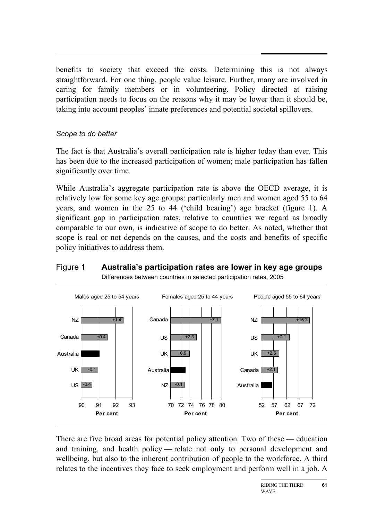benefits to society that exceed the costs. Determining this is not always straightforward. For one thing, people value leisure. Further, many are involved in caring for family members or in volunteering. Policy directed at raising participation needs to focus on the reasons why it may be lower than it should be, taking into account peoples' innate preferences and potential societal spillovers.

## *Scope to do better*

The fact is that Australia's overall participation rate is higher today than ever. This has been due to the increased participation of women; male participation has fallen significantly over time.

While Australia's aggregate participation rate is above the OECD average, it is relatively low for some key age groups: particularly men and women aged 55 to 64 years, and women in the 25 to 44 ('child bearing') age bracket (figure 1). A significant gap in participation rates, relative to countries we regard as broadly comparable to our own, is indicative of scope to do better. As noted, whether that scope is real or not depends on the causes, and the costs and benefits of specific policy initiatives to address them.

### Figure 1 **Australia's participation rates are lower in key age groups**  Differences between countries in selected participation rates, 2005



There are five broad areas for potential policy attention. Two of these — education and training, and health policy — relate not only to personal development and wellbeing, but also to the inherent contribution of people to the workforce. A third relates to the incentives they face to seek employment and perform well in a job. A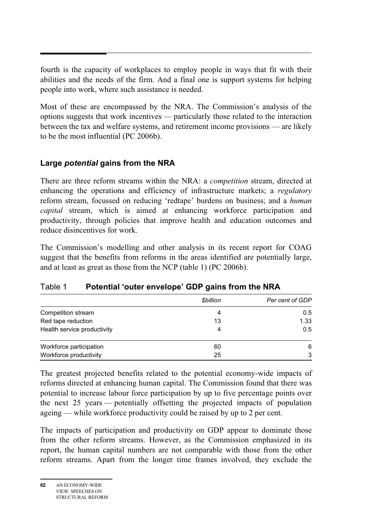fourth is the capacity of workplaces to employ people in ways that fit with their abilities and the needs of the firm. And a final one is support systems for helping people into work, where such assistance is needed.

Most of these are encompassed by the NRA. The Commission's analysis of the options suggests that work incentives — particularly those related to the interaction between the tax and welfare systems, and retirement income provisions — are likely to be the most influential (PC 2006b).

# **Large** *potential* **gains from the NRA**

There are three reform streams within the NRA: a *competition* stream, directed at enhancing the operations and efficiency of infrastructure markets; a *regulatory* reform stream, focussed on reducing 'redtape' burdens on business; and a *human capital* stream, which is aimed at enhancing workforce participation and productivity, through policies that improve health and education outcomes and reduce disincentives for work.

The Commission's modelling and other analysis in its recent report for COAG suggest that the benefits from reforms in the areas identified are potentially large, and at least as great as those from the NCP (table 1) (PC 2006b).

|                             | <i><b>\$billion</b></i> | Per cent of GDP |
|-----------------------------|-------------------------|-----------------|
| Competition stream          | 4                       | 0.5             |
| Red tape reduction          | 13                      | 1.33            |
| Health service productivity | 4                       | 0.5             |
| Workforce participation     | 60                      | 6               |
| Workforce productivity      | 25                      | 3               |

# Table 1 **Potential 'outer envelope' GDP gains from the NRA**

The greatest projected benefits related to the potential economy-wide impacts of reforms directed at enhancing human capital. The Commission found that there was potential to increase labour force participation by up to five percentage points over the next 25 years — potentially offsetting the projected impacts of population ageing — while workforce productivity could be raised by up to 2 per cent.

The impacts of participation and productivity on GDP appear to dominate those from the other reform streams. However, as the Commission emphasized in its report, the human capital numbers are not comparable with those from the other reform streams. Apart from the longer time frames involved, they exclude the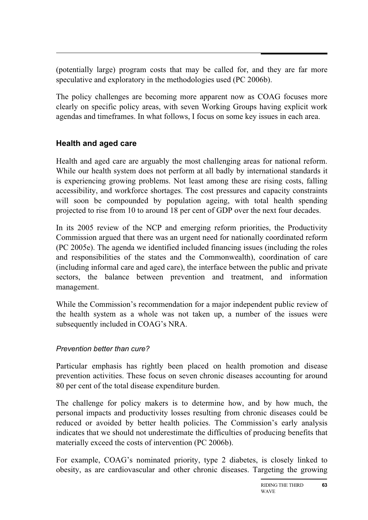(potentially large) program costs that may be called for, and they are far more speculative and exploratory in the methodologies used (PC 2006b).

The policy challenges are becoming more apparent now as COAG focuses more clearly on specific policy areas, with seven Working Groups having explicit work agendas and timeframes. In what follows, I focus on some key issues in each area.

## **Health and aged care**

Health and aged care are arguably the most challenging areas for national reform. While our health system does not perform at all badly by international standards it is experiencing growing problems. Not least among these are rising costs, falling accessibility, and workforce shortages. The cost pressures and capacity constraints will soon be compounded by population ageing, with total health spending projected to rise from 10 to around 18 per cent of GDP over the next four decades.

In its 2005 review of the NCP and emerging reform priorities, the Productivity Commission argued that there was an urgent need for nationally coordinated reform (PC 2005e). The agenda we identified included financing issues (including the roles and responsibilities of the states and the Commonwealth), coordination of care (including informal care and aged care), the interface between the public and private sectors, the balance between prevention and treatment, and information management.

While the Commission's recommendation for a major independent public review of the health system as a whole was not taken up, a number of the issues were subsequently included in COAG's NRA.

## *Prevention better than cure?*

Particular emphasis has rightly been placed on health promotion and disease prevention activities. These focus on seven chronic diseases accounting for around 80 per cent of the total disease expenditure burden.

The challenge for policy makers is to determine how, and by how much, the personal impacts and productivity losses resulting from chronic diseases could be reduced or avoided by better health policies. The Commission's early analysis indicates that we should not underestimate the difficulties of producing benefits that materially exceed the costs of intervention (PC 2006b).

For example, COAG's nominated priority, type 2 diabetes, is closely linked to obesity, as are cardiovascular and other chronic diseases. Targeting the growing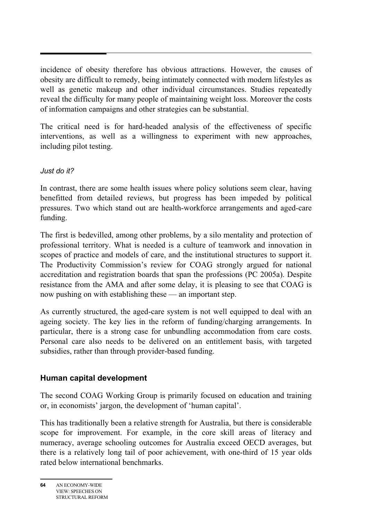incidence of obesity therefore has obvious attractions. However, the causes of obesity are difficult to remedy, being intimately connected with modern lifestyles as well as genetic makeup and other individual circumstances. Studies repeatedly reveal the difficulty for many people of maintaining weight loss. Moreover the costs of information campaigns and other strategies can be substantial.

The critical need is for hard-headed analysis of the effectiveness of specific interventions, as well as a willingness to experiment with new approaches, including pilot testing.

## *Just do it?*

In contrast, there are some health issues where policy solutions seem clear, having benefitted from detailed reviews, but progress has been impeded by political pressures. Two which stand out are health-workforce arrangements and aged-care funding.

The first is bedevilled, among other problems, by a silo mentality and protection of professional territory. What is needed is a culture of teamwork and innovation in scopes of practice and models of care, and the institutional structures to support it. The Productivity Commission's review for COAG strongly argued for national accreditation and registration boards that span the professions (PC 2005a). Despite resistance from the AMA and after some delay, it is pleasing to see that COAG is now pushing on with establishing these — an important step.

As currently structured, the aged-care system is not well equipped to deal with an ageing society. The key lies in the reform of funding/charging arrangements. In particular, there is a strong case for unbundling accommodation from care costs. Personal care also needs to be delivered on an entitlement basis, with targeted subsidies, rather than through provider-based funding.

## **Human capital development**

The second COAG Working Group is primarily focused on education and training or, in economists' jargon, the development of 'human capital'.

This has traditionally been a relative strength for Australia, but there is considerable scope for improvement. For example, in the core skill areas of literacy and numeracy, average schooling outcomes for Australia exceed OECD averages, but there is a relatively long tail of poor achievement, with one-third of 15 year olds rated below international benchmarks.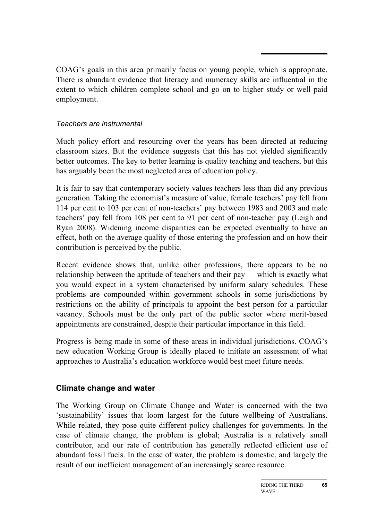COAG's goals in this area primarily focus on young people, which is appropriate. There is abundant evidence that literacy and numeracy skills are influential in the extent to which children complete school and go on to higher study or well paid employment.

## *Teachers are instrumental*

Much policy effort and resourcing over the years has been directed at reducing classroom sizes. But the evidence suggests that this has not yielded significantly better outcomes. The key to better learning is quality teaching and teachers, but this has arguably been the most neglected area of education policy.

It is fair to say that contemporary society values teachers less than did any previous generation. Taking the economist's measure of value, female teachers' pay fell from 114 per cent to 103 per cent of non-teachers' pay between 1983 and 2003 and male teachers' pay fell from 108 per cent to 91 per cent of non-teacher pay (Leigh and Ryan 2008). Widening income disparities can be expected eventually to have an effect, both on the average quality of those entering the profession and on how their contribution is perceived by the public.

Recent evidence shows that, unlike other professions, there appears to be no relationship between the aptitude of teachers and their pay — which is exactly what you would expect in a system characterised by uniform salary schedules. These problems are compounded within government schools in some jurisdictions by restrictions on the ability of principals to appoint the best person for a particular vacancy. Schools must be the only part of the public sector where merit-based appointments are constrained, despite their particular importance in this field.

Progress is being made in some of these areas in individual jurisdictions. COAG's new education Working Group is ideally placed to initiate an assessment of what approaches to Australia's education workforce would best meet future needs.

# **Climate change and water**

The Working Group on Climate Change and Water is concerned with the two 'sustainability' issues that loom largest for the future wellbeing of Australians. While related, they pose quite different policy challenges for governments. In the case of climate change, the problem is global; Australia is a relatively small contributor, and our rate of contribution has generally reflected efficient use of abundant fossil fuels. In the case of water, the problem is domestic, and largely the result of our inefficient management of an increasingly scarce resource.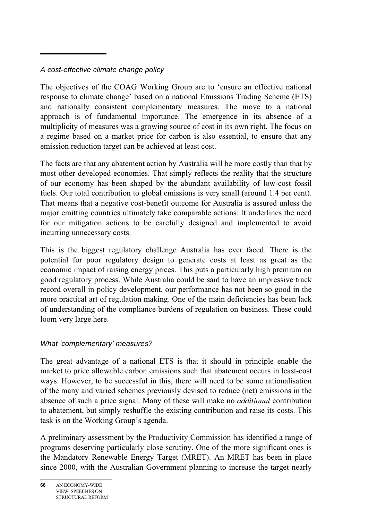## *A cost-effective climate change policy*

The objectives of the COAG Working Group are to 'ensure an effective national response to climate change' based on a national Emissions Trading Scheme (ETS) and nationally consistent complementary measures. The move to a national approach is of fundamental importance. The emergence in its absence of a multiplicity of measures was a growing source of cost in its own right. The focus on a regime based on a market price for carbon is also essential, to ensure that any emission reduction target can be achieved at least cost.

The facts are that any abatement action by Australia will be more costly than that by most other developed economies. That simply reflects the reality that the structure of our economy has been shaped by the abundant availability of low-cost fossil fuels. Our total contribution to global emissions is very small (around 1.4 per cent). That means that a negative cost-benefit outcome for Australia is assured unless the major emitting countries ultimately take comparable actions. It underlines the need for our mitigation actions to be carefully designed and implemented to avoid incurring unnecessary costs.

This is the biggest regulatory challenge Australia has ever faced. There is the potential for poor regulatory design to generate costs at least as great as the economic impact of raising energy prices. This puts a particularly high premium on good regulatory process. While Australia could be said to have an impressive track record overall in policy development, our performance has not been so good in the more practical art of regulation making. One of the main deficiencies has been lack of understanding of the compliance burdens of regulation on business. These could loom very large here.

## *What 'complementary' measures?*

The great advantage of a national ETS is that it should in principle enable the market to price allowable carbon emissions such that abatement occurs in least-cost ways. However, to be successful in this, there will need to be some rationalisation of the many and varied schemes previously devised to reduce (net) emissions in the absence of such a price signal. Many of these will make no *additional* contribution to abatement, but simply reshuffle the existing contribution and raise its costs. This task is on the Working Group's agenda.

A preliminary assessment by the Productivity Commission has identified a range of programs deserving particularly close scrutiny. One of the more significant ones is the Mandatory Renewable Energy Target (MRET). An MRET has been in place since 2000, with the Australian Government planning to increase the target nearly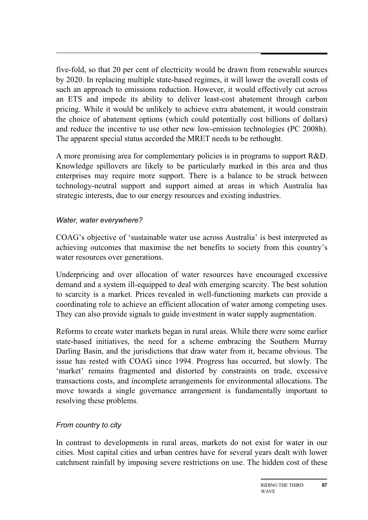five-fold, so that 20 per cent of electricity would be drawn from renewable sources by 2020. In replacing multiple state-based regimes, it will lower the overall costs of such an approach to emissions reduction. However, it would effectively cut across an ETS and impede its ability to deliver least-cost abatement through carbon pricing. While it would be unlikely to achieve extra abatement, it would constrain the choice of abatement options (which could potentially cost billions of dollars) and reduce the incentive to use other new low-emission technologies (PC 2008h). The apparent special status accorded the MRET needs to be rethought.

A more promising area for complementary policies is in programs to support R&D. Knowledge spillovers are likely to be particularly marked in this area and thus enterprises may require more support. There is a balance to be struck between technology-neutral support and support aimed at areas in which Australia has strategic interests, due to our energy resources and existing industries.

### *Water, water everywhere?*

COAG's objective of 'sustainable water use across Australia' is best interpreted as achieving outcomes that maximise the net benefits to society from this country's water resources over generations.

Underpricing and over allocation of water resources have encouraged excessive demand and a system ill-equipped to deal with emerging scarcity. The best solution to scarcity is a market. Prices revealed in well-functioning markets can provide a coordinating role to achieve an efficient allocation of water among competing uses. They can also provide signals to guide investment in water supply augmentation.

Reforms to create water markets began in rural areas. While there were some earlier state-based initiatives, the need for a scheme embracing the Southern Murray Darling Basin, and the jurisdictions that draw water from it, became obvious. The issue has rested with COAG since 1994. Progress has occurred, but slowly. The 'market' remains fragmented and distorted by constraints on trade, excessive transactions costs, and incomplete arrangements for environmental allocations. The move towards a single governance arrangement is fundamentally important to resolving these problems.

### *From country to city*

In contrast to developments in rural areas, markets do not exist for water in our cities. Most capital cities and urban centres have for several years dealt with lower catchment rainfall by imposing severe restrictions on use. The hidden cost of these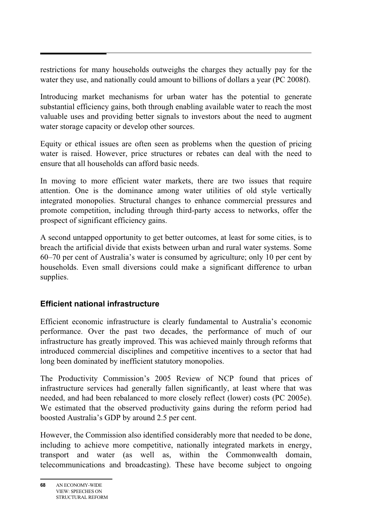restrictions for many households outweighs the charges they actually pay for the water they use, and nationally could amount to billions of dollars a year (PC 2008f).

Introducing market mechanisms for urban water has the potential to generate substantial efficiency gains, both through enabling available water to reach the most valuable uses and providing better signals to investors about the need to augment water storage capacity or develop other sources.

Equity or ethical issues are often seen as problems when the question of pricing water is raised. However, price structures or rebates can deal with the need to ensure that all households can afford basic needs.

In moving to more efficient water markets, there are two issues that require attention. One is the dominance among water utilities of old style vertically integrated monopolies. Structural changes to enhance commercial pressures and promote competition, including through third-party access to networks, offer the prospect of significant efficiency gains.

A second untapped opportunity to get better outcomes, at least for some cities, is to breach the artificial divide that exists between urban and rural water systems. Some 60–70 per cent of Australia's water is consumed by agriculture; only 10 per cent by households. Even small diversions could make a significant difference to urban supplies.

# **Efficient national infrastructure**

Efficient economic infrastructure is clearly fundamental to Australia's economic performance. Over the past two decades, the performance of much of our infrastructure has greatly improved. This was achieved mainly through reforms that introduced commercial disciplines and competitive incentives to a sector that had long been dominated by inefficient statutory monopolies.

The Productivity Commission's 2005 Review of NCP found that prices of infrastructure services had generally fallen significantly, at least where that was needed, and had been rebalanced to more closely reflect (lower) costs (PC 2005e). We estimated that the observed productivity gains during the reform period had boosted Australia's GDP by around 2.5 per cent.

However, the Commission also identified considerably more that needed to be done, including to achieve more competitive, nationally integrated markets in energy, transport and water (as well as, within the Commonwealth domain, telecommunications and broadcasting). These have become subject to ongoing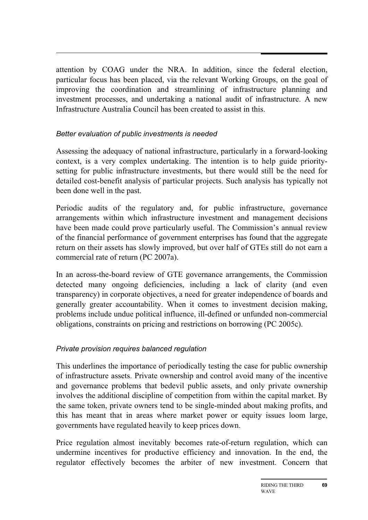attention by COAG under the NRA. In addition, since the federal election, particular focus has been placed, via the relevant Working Groups, on the goal of improving the coordination and streamlining of infrastructure planning and investment processes, and undertaking a national audit of infrastructure. A new Infrastructure Australia Council has been created to assist in this.

## *Better evaluation of public investments is needed*

Assessing the adequacy of national infrastructure, particularly in a forward-looking context, is a very complex undertaking. The intention is to help guide prioritysetting for public infrastructure investments, but there would still be the need for detailed cost-benefit analysis of particular projects. Such analysis has typically not been done well in the past.

Periodic audits of the regulatory and, for public infrastructure, governance arrangements within which infrastructure investment and management decisions have been made could prove particularly useful. The Commission's annual review of the financial performance of government enterprises has found that the aggregate return on their assets has slowly improved, but over half of GTEs still do not earn a commercial rate of return (PC 2007a).

In an across-the-board review of GTE governance arrangements, the Commission detected many ongoing deficiencies, including a lack of clarity (and even transparency) in corporate objectives, a need for greater independence of boards and generally greater accountability. When it comes to investment decision making, problems include undue political influence, ill-defined or unfunded non-commercial obligations, constraints on pricing and restrictions on borrowing (PC 2005c).

### *Private provision requires balanced regulation*

This underlines the importance of periodically testing the case for public ownership of infrastructure assets. Private ownership and control avoid many of the incentive and governance problems that bedevil public assets, and only private ownership involves the additional discipline of competition from within the capital market. By the same token, private owners tend to be single-minded about making profits, and this has meant that in areas where market power or equity issues loom large, governments have regulated heavily to keep prices down.

Price regulation almost inevitably becomes rate-of-return regulation, which can undermine incentives for productive efficiency and innovation. In the end, the regulator effectively becomes the arbiter of new investment. Concern that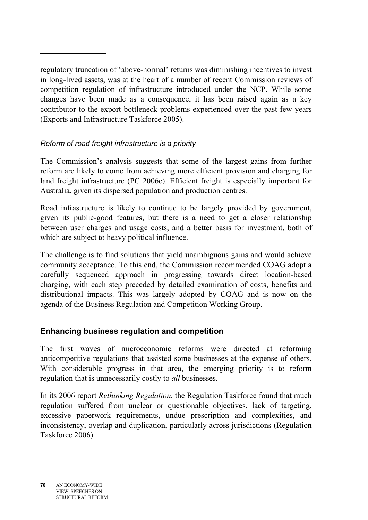regulatory truncation of 'above-normal' returns was diminishing incentives to invest in long-lived assets, was at the heart of a number of recent Commission reviews of competition regulation of infrastructure introduced under the NCP. While some changes have been made as a consequence, it has been raised again as a key contributor to the export bottleneck problems experienced over the past few years (Exports and Infrastructure Taskforce 2005).

## *Reform of road freight infrastructure is a priority*

The Commission's analysis suggests that some of the largest gains from further reform are likely to come from achieving more efficient provision and charging for land freight infrastructure (PC 2006e). Efficient freight is especially important for Australia, given its dispersed population and production centres.

Road infrastructure is likely to continue to be largely provided by government, given its public-good features, but there is a need to get a closer relationship between user charges and usage costs, and a better basis for investment, both of which are subject to heavy political influence.

The challenge is to find solutions that yield unambiguous gains and would achieve community acceptance. To this end, the Commission recommended COAG adopt a carefully sequenced approach in progressing towards direct location-based charging, with each step preceded by detailed examination of costs, benefits and distributional impacts. This was largely adopted by COAG and is now on the agenda of the Business Regulation and Competition Working Group.

## **Enhancing business regulation and competition**

The first waves of microeconomic reforms were directed at reforming anticompetitive regulations that assisted some businesses at the expense of others. With considerable progress in that area, the emerging priority is to reform regulation that is unnecessarily costly to *all* businesses.

In its 2006 report *Rethinking Regulation*, the Regulation Taskforce found that much regulation suffered from unclear or questionable objectives, lack of targeting, excessive paperwork requirements, undue prescription and complexities, and inconsistency, overlap and duplication, particularly across jurisdictions (Regulation Taskforce 2006).

**<sup>70</sup>** AN ECONOMY-WIDE VIEW: SPEECHES ON STRUCTURAL REFORM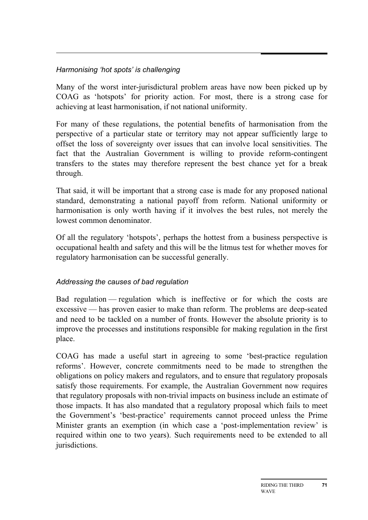## *Harmonising 'hot spots' is challenging*

Many of the worst inter-jurisdictural problem areas have now been picked up by COAG as 'hotspots' for priority action. For most, there is a strong case for achieving at least harmonisation, if not national uniformity.

For many of these regulations, the potential benefits of harmonisation from the perspective of a particular state or territory may not appear sufficiently large to offset the loss of sovereignty over issues that can involve local sensitivities. The fact that the Australian Government is willing to provide reform-contingent transfers to the states may therefore represent the best chance yet for a break through.

That said, it will be important that a strong case is made for any proposed national standard, demonstrating a national payoff from reform. National uniformity or harmonisation is only worth having if it involves the best rules, not merely the lowest common denominator.

Of all the regulatory 'hotspots', perhaps the hottest from a business perspective is occupational health and safety and this will be the litmus test for whether moves for regulatory harmonisation can be successful generally.

## *Addressing the causes of bad regulation*

Bad regulation — regulation which is ineffective or for which the costs are excessive — has proven easier to make than reform. The problems are deep-seated and need to be tackled on a number of fronts. However the absolute priority is to improve the processes and institutions responsible for making regulation in the first place.

COAG has made a useful start in agreeing to some 'best-practice regulation reforms'. However, concrete commitments need to be made to strengthen the obligations on policy makers and regulators, and to ensure that regulatory proposals satisfy those requirements. For example, the Australian Government now requires that regulatory proposals with non-trivial impacts on business include an estimate of those impacts. It has also mandated that a regulatory proposal which fails to meet the Government's 'best-practice' requirements cannot proceed unless the Prime Minister grants an exemption (in which case a 'post-implementation review' is required within one to two years). Such requirements need to be extended to all jurisdictions.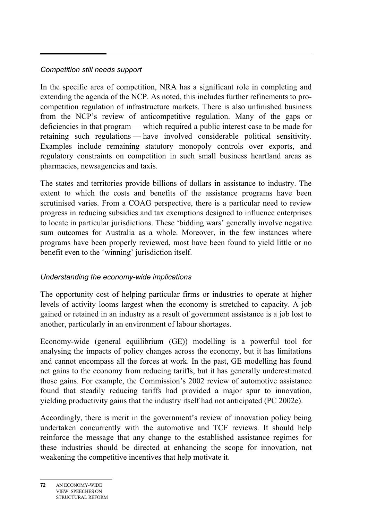## *Competition still needs support*

In the specific area of competition, NRA has a significant role in completing and extending the agenda of the NCP. As noted, this includes further refinements to procompetition regulation of infrastructure markets. There is also unfinished business from the NCP's review of anticompetitive regulation. Many of the gaps or deficiencies in that program — which required a public interest case to be made for retaining such regulations — have involved considerable political sensitivity. Examples include remaining statutory monopoly controls over exports, and regulatory constraints on competition in such small business heartland areas as pharmacies, newsagencies and taxis.

The states and territories provide billions of dollars in assistance to industry. The extent to which the costs and benefits of the assistance programs have been scrutinised varies. From a COAG perspective, there is a particular need to review progress in reducing subsidies and tax exemptions designed to influence enterprises to locate in particular jurisdictions. These 'bidding wars' generally involve negative sum outcomes for Australia as a whole. Moreover, in the few instances where programs have been properly reviewed, most have been found to yield little or no benefit even to the 'winning' jurisdiction itself.

### *Understanding the economy-wide implications*

The opportunity cost of helping particular firms or industries to operate at higher levels of activity looms largest when the economy is stretched to capacity. A job gained or retained in an industry as a result of government assistance is a job lost to another, particularly in an environment of labour shortages.

Economy-wide (general equilibrium (GE)) modelling is a powerful tool for analysing the impacts of policy changes across the economy, but it has limitations and cannot encompass all the forces at work. In the past, GE modelling has found net gains to the economy from reducing tariffs, but it has generally underestimated those gains. For example, the Commission's 2002 review of automotive assistance found that steadily reducing tariffs had provided a major spur to innovation, yielding productivity gains that the industry itself had not anticipated (PC 2002e).

Accordingly, there is merit in the government's review of innovation policy being undertaken concurrently with the automotive and TCF reviews. It should help reinforce the message that any change to the established assistance regimes for these industries should be directed at enhancing the scope for innovation, not weakening the competitive incentives that help motivate it.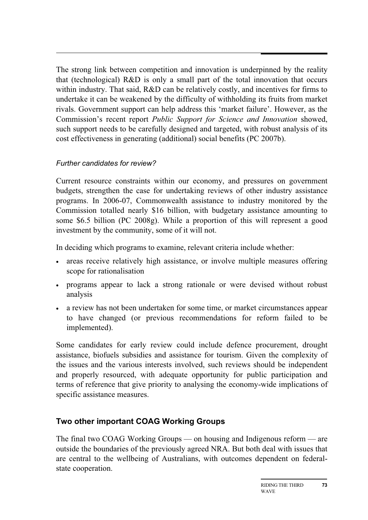The strong link between competition and innovation is underpinned by the reality that (technological) R&D is only a small part of the total innovation that occurs within industry. That said, R&D can be relatively costly, and incentives for firms to undertake it can be weakened by the difficulty of withholding its fruits from market rivals. Government support can help address this 'market failure'. However, as the Commission's recent report *Public Support for Science and Innovation* showed, such support needs to be carefully designed and targeted, with robust analysis of its cost effectiveness in generating (additional) social benefits (PC 2007b).

#### *Further candidates for review?*

Current resource constraints within our economy, and pressures on government budgets, strengthen the case for undertaking reviews of other industry assistance programs. In 2006-07, Commonwealth assistance to industry monitored by the Commission totalled nearly \$16 billion, with budgetary assistance amounting to some \$6.5 billion (PC 2008g). While a proportion of this will represent a good investment by the community, some of it will not.

In deciding which programs to examine, relevant criteria include whether:

- areas receive relatively high assistance, or involve multiple measures offering scope for rationalisation
- programs appear to lack a strong rationale or were devised without robust analysis
- a review has not been undertaken for some time, or market circumstances appear to have changed (or previous recommendations for reform failed to be implemented).

Some candidates for early review could include defence procurement, drought assistance, biofuels subsidies and assistance for tourism. Given the complexity of the issues and the various interests involved, such reviews should be independent and properly resourced, with adequate opportunity for public participation and terms of reference that give priority to analysing the economy-wide implications of specific assistance measures.

## **Two other important COAG Working Groups**

The final two COAG Working Groups — on housing and Indigenous reform — are outside the boundaries of the previously agreed NRA. But both deal with issues that are central to the wellbeing of Australians, with outcomes dependent on federalstate cooperation.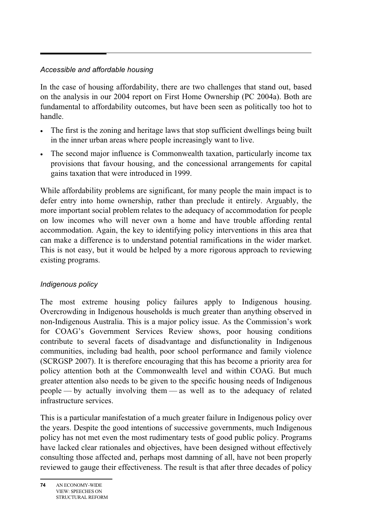#### *Accessible and affordable housing*

In the case of housing affordability, there are two challenges that stand out, based on the analysis in our 2004 report on First Home Ownership (PC 2004a). Both are fundamental to affordability outcomes, but have been seen as politically too hot to handle.

- The first is the zoning and heritage laws that stop sufficient dwellings being built in the inner urban areas where people increasingly want to live.
- The second major influence is Commonwealth taxation, particularly income tax provisions that favour housing, and the concessional arrangements for capital gains taxation that were introduced in 1999.

While affordability problems are significant, for many people the main impact is to defer entry into home ownership, rather than preclude it entirely. Arguably, the more important social problem relates to the adequacy of accommodation for people on low incomes who will never own a home and have trouble affording rental accommodation. Again, the key to identifying policy interventions in this area that can make a difference is to understand potential ramifications in the wider market. This is not easy, but it would be helped by a more rigorous approach to reviewing existing programs.

#### *Indigenous policy*

The most extreme housing policy failures apply to Indigenous housing. Overcrowding in Indigenous households is much greater than anything observed in non-Indigenous Australia. This is a major policy issue. As the Commission's work for COAG's Government Services Review shows, poor housing conditions contribute to several facets of disadvantage and disfunctionality in Indigenous communities, including bad health, poor school performance and family violence (SCRGSP 2007). It is therefore encouraging that this has become a priority area for policy attention both at the Commonwealth level and within COAG. But much greater attention also needs to be given to the specific housing needs of Indigenous people — by actually involving them — as well as to the adequacy of related infrastructure services.

This is a particular manifestation of a much greater failure in Indigenous policy over the years. Despite the good intentions of successive governments, much Indigenous policy has not met even the most rudimentary tests of good public policy. Programs have lacked clear rationales and objectives, have been designed without effectively consulting those affected and, perhaps most damning of all, have not been properly reviewed to gauge their effectiveness. The result is that after three decades of policy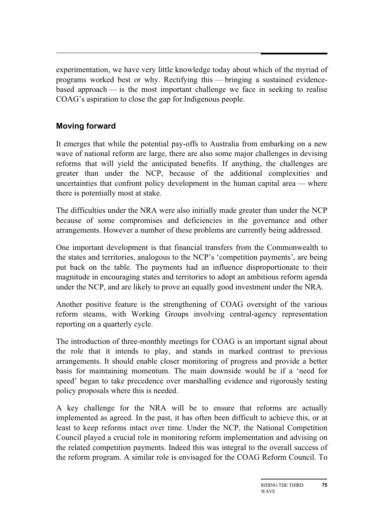experimentation, we have very little knowledge today about which of the myriad of programs worked best or why. Rectifying this — bringing a sustained evidencebased approach — is the most important challenge we face in seeking to realise COAG's aspiration to close the gap for Indigenous people.

### **Moving forward**

It emerges that while the potential pay-offs to Australia from embarking on a new wave of national reform are large, there are also some major challenges in devising reforms that will yield the anticipated benefits. If anything, the challenges are greater than under the NCP, because of the additional complexities and uncertainties that confront policy development in the human capital area — where there is potentially most at stake.

The difficulties under the NRA were also initially made greater than under the NCP because of some compromises and deficiencies in the governance and other arrangements. However a number of these problems are currently being addressed.

One important development is that financial transfers from the Commonwealth to the states and territories, analogous to the NCP's 'competition payments', are being put back on the table. The payments had an influence disproportionate to their magnitude in encouraging states and territories to adopt an ambitious reform agenda under the NCP, and are likely to prove an equally good investment under the NRA.

Another positive feature is the strengthening of COAG oversight of the various reform steams, with Working Groups involving central-agency representation reporting on a quarterly cycle.

The introduction of three-monthly meetings for COAG is an important signal about the role that it intends to play, and stands in marked contrast to previous arrangements. It should enable closer monitoring of progress and provide a better basis for maintaining momentum. The main downside would be if a 'need for speed' began to take precedence over marshalling evidence and rigorously testing policy proposals where this is needed.

A key challenge for the NRA will be to ensure that reforms are actually implemented as agreed. In the past, it has often been difficult to achieve this, or at least to keep reforms intact over time. Under the NCP, the National Competition Council played a crucial role in monitoring reform implementation and advising on the related competition payments. Indeed this was integral to the overall success of the reform program. A similar role is envisaged for the COAG Reform Council. To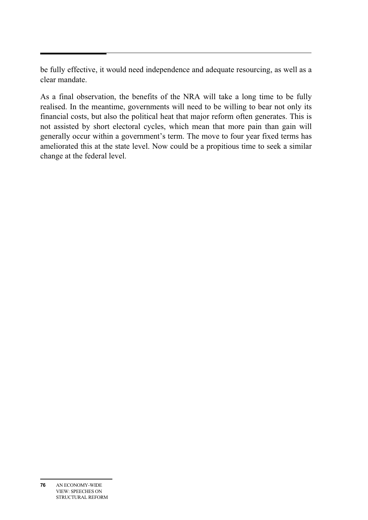be fully effective, it would need independence and adequate resourcing, as well as a clear mandate.

As a final observation, the benefits of the NRA will take a long time to be fully realised. In the meantime, governments will need to be willing to bear not only its financial costs, but also the political heat that major reform often generates. This is not assisted by short electoral cycles, which mean that more pain than gain will generally occur within a government's term. The move to four year fixed terms has ameliorated this at the state level. Now could be a propitious time to seek a similar change at the federal level.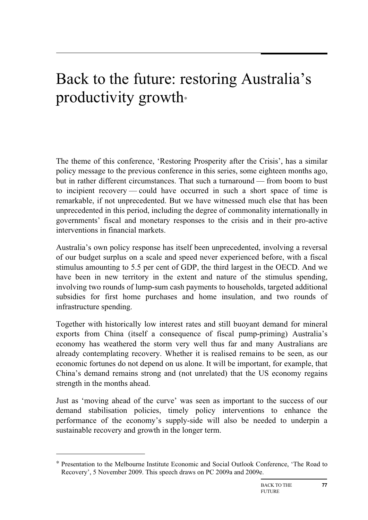# Back to the future: restoring Australia's productivity growth<sup>∗</sup>

The theme of this conference, 'Restoring Prosperity after the Crisis', has a similar policy message to the previous conference in this series, some eighteen months ago, but in rather different circumstances. That such a turnaround — from boom to bust to incipient recovery — could have occurred in such a short space of time is remarkable, if not unprecedented. But we have witnessed much else that has been unprecedented in this period, including the degree of commonality internationally in governments' fiscal and monetary responses to the crisis and in their pro-active interventions in financial markets.

Australia's own policy response has itself been unprecedented, involving a reversal of our budget surplus on a scale and speed never experienced before, with a fiscal stimulus amounting to 5.5 per cent of GDP, the third largest in the OECD. And we have been in new territory in the extent and nature of the stimulus spending, involving two rounds of lump-sum cash payments to households, targeted additional subsidies for first home purchases and home insulation, and two rounds of infrastructure spending.

Together with historically low interest rates and still buoyant demand for mineral exports from China (itself a consequence of fiscal pump-priming) Australia's economy has weathered the storm very well thus far and many Australians are already contemplating recovery. Whether it is realised remains to be seen, as our economic fortunes do not depend on us alone. It will be important, for example, that China's demand remains strong and (not unrelated) that the US economy regains strength in the months ahead.

Just as 'moving ahead of the curve' was seen as important to the success of our demand stabilisation policies, timely policy interventions to enhance the performance of the economy's supply-side will also be needed to underpin a sustainable recovery and growth in the longer term.

 $\overline{a}$ 

<sup>∗</sup> Presentation to the Melbourne Institute Economic and Social Outlook Conference, 'The Road to Recovery', 5 November 2009. This speech draws on PC 2009a and 2009e.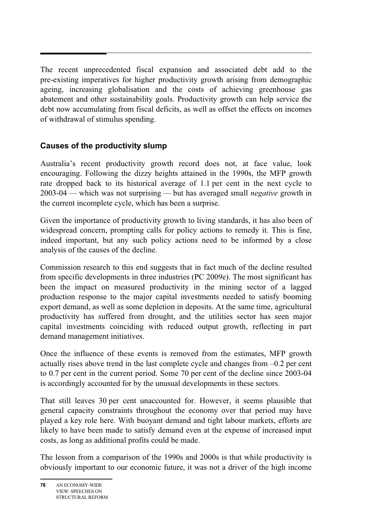The recent unprecedented fiscal expansion and associated debt add to the pre-existing imperatives for higher productivity growth arising from demographic ageing, increasing globalisation and the costs of achieving greenhouse gas abatement and other sustainability goals. Productivity growth can help service the debt now accumulating from fiscal deficits, as well as offset the effects on incomes of withdrawal of stimulus spending.

# **Causes of the productivity slump**

Australia's recent productivity growth record does not, at face value, look encouraging. Following the dizzy heights attained in the 1990s, the MFP growth rate dropped back to its historical average of 1.1 per cent in the next cycle to 2003-04 — which was not surprising — but has averaged small *negative* growth in the current incomplete cycle, which has been a surprise.

Given the importance of productivity growth to living standards, it has also been of widespread concern, prompting calls for policy actions to remedy it. This is fine, indeed important, but any such policy actions need to be informed by a close analysis of the causes of the decline.

Commission research to this end suggests that in fact much of the decline resulted from specific developments in three industries (PC 2009e). The most significant has been the impact on measured productivity in the mining sector of a lagged production response to the major capital investments needed to satisfy booming export demand, as well as some depletion in deposits. At the same time, agricultural productivity has suffered from drought, and the utilities sector has seen major capital investments coinciding with reduced output growth, reflecting in part demand management initiatives.

Once the influence of these events is removed from the estimates, MFP growth actually rises above trend in the last complete cycle and changes from –0.2 per cent to 0.7 per cent in the current period. Some 70 per cent of the decline since 2003-04 is accordingly accounted for by the unusual developments in these sectors.

That still leaves 30 per cent unaccounted for. However, it seems plausible that general capacity constraints throughout the economy over that period may have played a key role here. With buoyant demand and tight labour markets, efforts are likely to have been made to satisfy demand even at the expense of increased input costs, as long as additional profits could be made.

The lesson from a comparison of the 1990s and 2000s is that while productivity is obviously important to our economic future, it was not a driver of the high income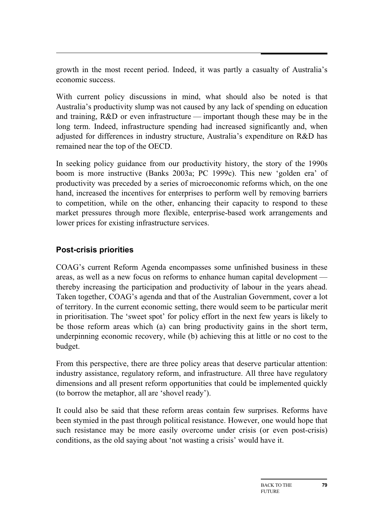growth in the most recent period. Indeed, it was partly a casualty of Australia's economic success.

With current policy discussions in mind, what should also be noted is that Australia's productivity slump was not caused by any lack of spending on education and training, R&D or even infrastructure — important though these may be in the long term. Indeed, infrastructure spending had increased significantly and, when adjusted for differences in industry structure, Australia's expenditure on R&D has remained near the top of the OECD.

In seeking policy guidance from our productivity history, the story of the 1990s boom is more instructive (Banks 2003a; PC 1999c). This new 'golden era' of productivity was preceded by a series of microeconomic reforms which, on the one hand, increased the incentives for enterprises to perform well by removing barriers to competition, while on the other, enhancing their capacity to respond to these market pressures through more flexible, enterprise-based work arrangements and lower prices for existing infrastructure services.

# **Post-crisis priorities**

COAG's current Reform Agenda encompasses some unfinished business in these areas, as well as a new focus on reforms to enhance human capital development thereby increasing the participation and productivity of labour in the years ahead. Taken together, COAG's agenda and that of the Australian Government, cover a lot of territory. In the current economic setting, there would seem to be particular merit in prioritisation. The 'sweet spot' for policy effort in the next few years is likely to be those reform areas which (a) can bring productivity gains in the short term, underpinning economic recovery, while (b) achieving this at little or no cost to the budget.

From this perspective, there are three policy areas that deserve particular attention: industry assistance, regulatory reform, and infrastructure. All three have regulatory dimensions and all present reform opportunities that could be implemented quickly (to borrow the metaphor, all are 'shovel ready').

It could also be said that these reform areas contain few surprises. Reforms have been stymied in the past through political resistance. However, one would hope that such resistance may be more easily overcome under crisis (or even post-crisis) conditions, as the old saying about 'not wasting a crisis' would have it.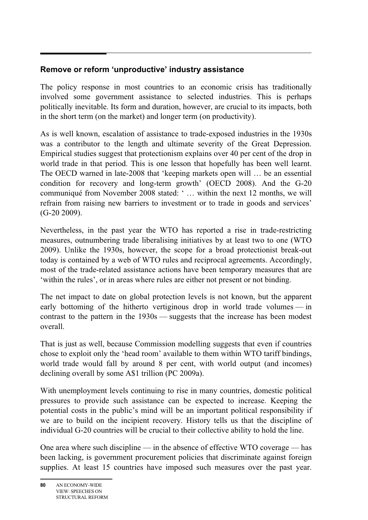# **Remove or reform 'unproductive' industry assistance**

The policy response in most countries to an economic crisis has traditionally involved some government assistance to selected industries. This is perhaps politically inevitable. Its form and duration, however, are crucial to its impacts, both in the short term (on the market) and longer term (on productivity).

As is well known, escalation of assistance to trade-exposed industries in the 1930s was a contributor to the length and ultimate severity of the Great Depression. Empirical studies suggest that protectionism explains over 40 per cent of the drop in world trade in that period. This is one lesson that hopefully has been well learnt. The OECD warned in late-2008 that 'keeping markets open will … be an essential condition for recovery and long-term growth' (OECD 2008). And the G-20 communiqué from November 2008 stated: ' … within the next 12 months, we will refrain from raising new barriers to investment or to trade in goods and services' (G-20 2009).

Nevertheless, in the past year the WTO has reported a rise in trade-restricting measures, outnumbering trade liberalising initiatives by at least two to one (WTO 2009). Unlike the 1930s, however, the scope for a broad protectionist break-out today is contained by a web of WTO rules and reciprocal agreements. Accordingly, most of the trade-related assistance actions have been temporary measures that are 'within the rules', or in areas where rules are either not present or not binding.

The net impact to date on global protection levels is not known, but the apparent early bottoming of the hitherto vertiginous drop in world trade volumes — in contrast to the pattern in the 1930s — suggests that the increase has been modest overall.

That is just as well, because Commission modelling suggests that even if countries chose to exploit only the 'head room' available to them within WTO tariff bindings, world trade would fall by around 8 per cent, with world output (and incomes) declining overall by some A\$1 trillion (PC 2009a).

With unemployment levels continuing to rise in many countries, domestic political pressures to provide such assistance can be expected to increase. Keeping the potential costs in the public's mind will be an important political responsibility if we are to build on the incipient recovery. History tells us that the discipline of individual G-20 countries will be crucial to their collective ability to hold the line.

One area where such discipline — in the absence of effective WTO coverage — has been lacking, is government procurement policies that discriminate against foreign supplies. At least 15 countries have imposed such measures over the past year.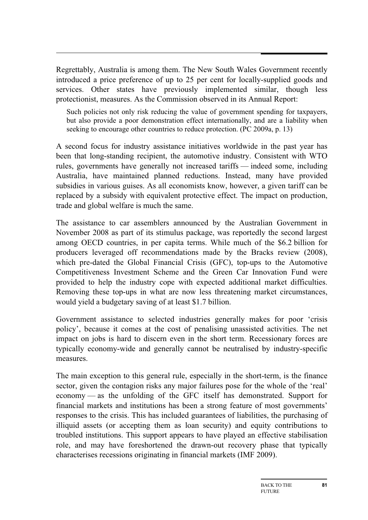Regrettably, Australia is among them. The New South Wales Government recently introduced a price preference of up to 25 per cent for locally-supplied goods and services. Other states have previously implemented similar, though less protectionist, measures. As the Commission observed in its Annual Report:

Such policies not only risk reducing the value of government spending for taxpayers, but also provide a poor demonstration effect internationally, and are a liability when seeking to encourage other countries to reduce protection. (PC 2009a, p. 13)

A second focus for industry assistance initiatives worldwide in the past year has been that long-standing recipient, the automotive industry. Consistent with WTO rules, governments have generally not increased tariffs — indeed some, including Australia, have maintained planned reductions. Instead, many have provided subsidies in various guises. As all economists know, however, a given tariff can be replaced by a subsidy with equivalent protective effect. The impact on production, trade and global welfare is much the same.

The assistance to car assemblers announced by the Australian Government in November 2008 as part of its stimulus package, was reportedly the second largest among OECD countries, in per capita terms. While much of the \$6.2 billion for producers leveraged off recommendations made by the Bracks review (2008), which pre-dated the Global Financial Crisis (GFC), top-ups to the Automotive Competitiveness Investment Scheme and the Green Car Innovation Fund were provided to help the industry cope with expected additional market difficulties. Removing these top-ups in what are now less threatening market circumstances, would yield a budgetary saving of at least \$1.7 billion.

Government assistance to selected industries generally makes for poor 'crisis policy', because it comes at the cost of penalising unassisted activities. The net impact on jobs is hard to discern even in the short term. Recessionary forces are typically economy-wide and generally cannot be neutralised by industry-specific measures.

The main exception to this general rule, especially in the short-term, is the finance sector, given the contagion risks any major failures pose for the whole of the 'real' economy — as the unfolding of the GFC itself has demonstrated. Support for financial markets and institutions has been a strong feature of most governments' responses to the crisis. This has included guarantees of liabilities, the purchasing of illiquid assets (or accepting them as loan security) and equity contributions to troubled institutions. This support appears to have played an effective stabilisation role, and may have foreshortened the drawn-out recovery phase that typically characterises recessions originating in financial markets (IMF 2009).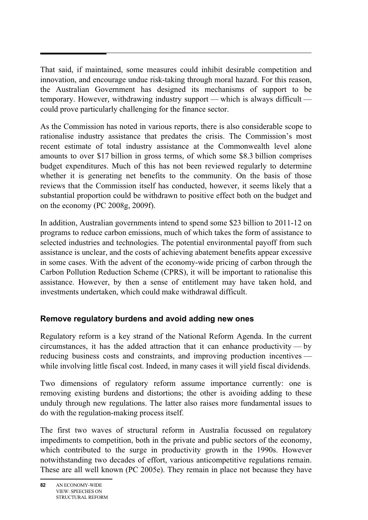That said, if maintained, some measures could inhibit desirable competition and innovation, and encourage undue risk-taking through moral hazard. For this reason, the Australian Government has designed its mechanisms of support to be temporary. However, withdrawing industry support — which is always difficult could prove particularly challenging for the finance sector.

As the Commission has noted in various reports, there is also considerable scope to rationalise industry assistance that predates the crisis. The Commission's most recent estimate of total industry assistance at the Commonwealth level alone amounts to over \$17 billion in gross terms, of which some \$8.3 billion comprises budget expenditures. Much of this has not been reviewed regularly to determine whether it is generating net benefits to the community. On the basis of those reviews that the Commission itself has conducted, however, it seems likely that a substantial proportion could be withdrawn to positive effect both on the budget and on the economy (PC 2008g, 2009f).

In addition, Australian governments intend to spend some \$23 billion to 2011-12 on programs to reduce carbon emissions, much of which takes the form of assistance to selected industries and technologies. The potential environmental payoff from such assistance is unclear, and the costs of achieving abatement benefits appear excessive in some cases. With the advent of the economy-wide pricing of carbon through the Carbon Pollution Reduction Scheme (CPRS), it will be important to rationalise this assistance. However, by then a sense of entitlement may have taken hold, and investments undertaken, which could make withdrawal difficult.

## **Remove regulatory burdens and avoid adding new ones**

Regulatory reform is a key strand of the National Reform Agenda. In the current circumstances, it has the added attraction that it can enhance productivity — by reducing business costs and constraints, and improving production incentives while involving little fiscal cost. Indeed, in many cases it will yield fiscal dividends.

Two dimensions of regulatory reform assume importance currently: one is removing existing burdens and distortions; the other is avoiding adding to these unduly through new regulations. The latter also raises more fundamental issues to do with the regulation-making process itself.

The first two waves of structural reform in Australia focussed on regulatory impediments to competition, both in the private and public sectors of the economy, which contributed to the surge in productivity growth in the 1990s. However notwithstanding two decades of effort, various anticompetitive regulations remain. These are all well known (PC 2005e). They remain in place not because they have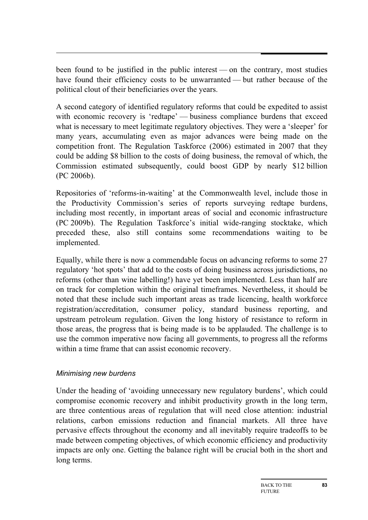been found to be justified in the public interest — on the contrary, most studies have found their efficiency costs to be unwarranted — but rather because of the political clout of their beneficiaries over the years.

A second category of identified regulatory reforms that could be expedited to assist with economic recovery is 'redtape' — business compliance burdens that exceed what is necessary to meet legitimate regulatory objectives. They were a 'sleeper' for many years, accumulating even as major advances were being made on the competition front. The Regulation Taskforce (2006) estimated in 2007 that they could be adding \$8 billion to the costs of doing business, the removal of which, the Commission estimated subsequently, could boost GDP by nearly \$12 billion (PC 2006b).

Repositories of 'reforms-in-waiting' at the Commonwealth level, include those in the Productivity Commission's series of reports surveying redtape burdens, including most recently, in important areas of social and economic infrastructure (PC 2009b). The Regulation Taskforce's initial wide-ranging stocktake, which preceded these, also still contains some recommendations waiting to be implemented.

Equally, while there is now a commendable focus on advancing reforms to some 27 regulatory 'hot spots' that add to the costs of doing business across jurisdictions, no reforms (other than wine labelling!) have yet been implemented. Less than half are on track for completion within the original timeframes. Nevertheless, it should be noted that these include such important areas as trade licencing, health workforce registration/accreditation, consumer policy, standard business reporting, and upstream petroleum regulation. Given the long history of resistance to reform in those areas, the progress that is being made is to be applauded. The challenge is to use the common imperative now facing all governments, to progress all the reforms within a time frame that can assist economic recovery.

#### *Minimising new burdens*

Under the heading of 'avoiding unnecessary new regulatory burdens', which could compromise economic recovery and inhibit productivity growth in the long term, are three contentious areas of regulation that will need close attention: industrial relations, carbon emissions reduction and financial markets. All three have pervasive effects throughout the economy and all inevitably require tradeoffs to be made between competing objectives, of which economic efficiency and productivity impacts are only one. Getting the balance right will be crucial both in the short and long terms.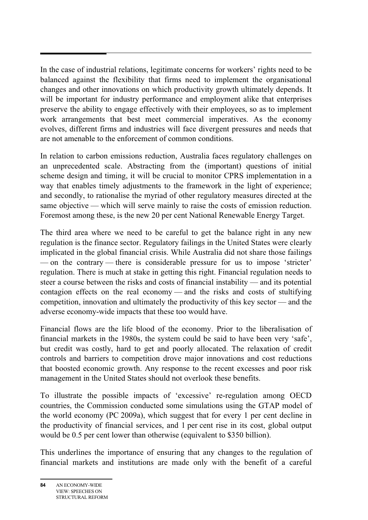In the case of industrial relations, legitimate concerns for workers' rights need to be balanced against the flexibility that firms need to implement the organisational changes and other innovations on which productivity growth ultimately depends. It will be important for industry performance and employment alike that enterprises preserve the ability to engage effectively with their employees, so as to implement work arrangements that best meet commercial imperatives. As the economy evolves, different firms and industries will face divergent pressures and needs that are not amenable to the enforcement of common conditions.

In relation to carbon emissions reduction, Australia faces regulatory challenges on an unprecedented scale. Abstracting from the (important) questions of initial scheme design and timing, it will be crucial to monitor CPRS implementation in a way that enables timely adjustments to the framework in the light of experience; and secondly, to rationalise the myriad of other regulatory measures directed at the same objective — which will serve mainly to raise the costs of emission reduction. Foremost among these, is the new 20 per cent National Renewable Energy Target.

The third area where we need to be careful to get the balance right in any new regulation is the finance sector. Regulatory failings in the United States were clearly implicated in the global financial crisis. While Australia did not share those failings — on the contrary — there is considerable pressure for us to impose 'stricter' regulation. There is much at stake in getting this right. Financial regulation needs to steer a course between the risks and costs of financial instability — and its potential contagion effects on the real economy — and the risks and costs of stultifying competition, innovation and ultimately the productivity of this key sector — and the adverse economy-wide impacts that these too would have.

Financial flows are the life blood of the economy. Prior to the liberalisation of financial markets in the 1980s, the system could be said to have been very 'safe', but credit was costly, hard to get and poorly allocated. The relaxation of credit controls and barriers to competition drove major innovations and cost reductions that boosted economic growth. Any response to the recent excesses and poor risk management in the United States should not overlook these benefits.

To illustrate the possible impacts of 'excessive' re-regulation among OECD countries, the Commission conducted some simulations using the GTAP model of the world economy (PC 2009a), which suggest that for every 1 per cent decline in the productivity of financial services, and 1 per cent rise in its cost, global output would be 0.5 per cent lower than otherwise (equivalent to \$350 billion).

This underlines the importance of ensuring that any changes to the regulation of financial markets and institutions are made only with the benefit of a careful

**<sup>84</sup>** AN ECONOMY-WIDE VIEW: SPEECHES ON STRUCTURAL REFORM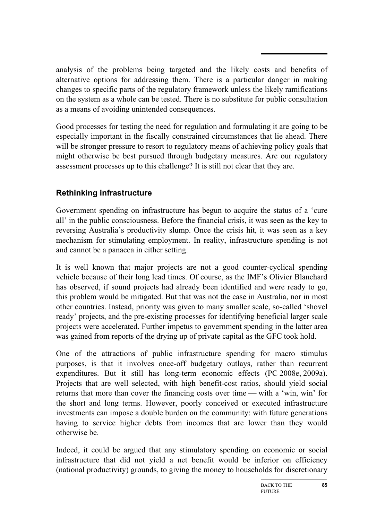analysis of the problems being targeted and the likely costs and benefits of alternative options for addressing them. There is a particular danger in making changes to specific parts of the regulatory framework unless the likely ramifications on the system as a whole can be tested. There is no substitute for public consultation as a means of avoiding unintended consequences.

Good processes for testing the need for regulation and formulating it are going to be especially important in the fiscally constrained circumstances that lie ahead. There will be stronger pressure to resort to regulatory means of achieving policy goals that might otherwise be best pursued through budgetary measures. Are our regulatory assessment processes up to this challenge? It is still not clear that they are.

# **Rethinking infrastructure**

Government spending on infrastructure has begun to acquire the status of a 'cure all' in the public consciousness. Before the financial crisis, it was seen as the key to reversing Australia's productivity slump. Once the crisis hit, it was seen as a key mechanism for stimulating employment. In reality, infrastructure spending is not and cannot be a panacea in either setting.

It is well known that major projects are not a good counter-cyclical spending vehicle because of their long lead times. Of course, as the IMF's Olivier Blanchard has observed, if sound projects had already been identified and were ready to go, this problem would be mitigated. But that was not the case in Australia, nor in most other countries. Instead, priority was given to many smaller scale, so-called 'shovel ready' projects, and the pre-existing processes for identifying beneficial larger scale projects were accelerated. Further impetus to government spending in the latter area was gained from reports of the drying up of private capital as the GFC took hold.

One of the attractions of public infrastructure spending for macro stimulus purposes, is that it involves once-off budgetary outlays, rather than recurrent expenditures. But it still has long-term economic effects (PC 2008e, 2009a). Projects that are well selected, with high benefit-cost ratios, should yield social returns that more than cover the financing costs over time — with a 'win, win' for the short and long terms. However, poorly conceived or executed infrastructure investments can impose a double burden on the community: with future generations having to service higher debts from incomes that are lower than they would otherwise be.

Indeed, it could be argued that any stimulatory spending on economic or social infrastructure that did not yield a net benefit would be inferior on efficiency (national productivity) grounds, to giving the money to households for discretionary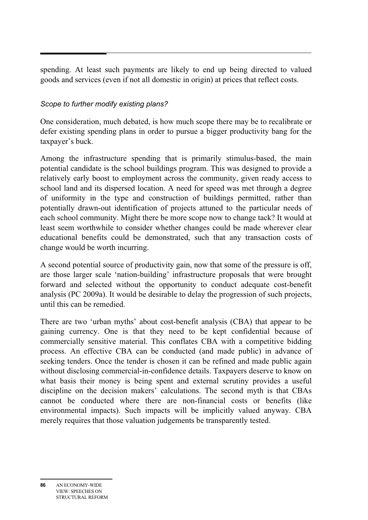spending. At least such payments are likely to end up being directed to valued goods and services (even if not all domestic in origin) at prices that reflect costs.

#### *Scope to further modify existing plans?*

One consideration, much debated, is how much scope there may be to recalibrate or defer existing spending plans in order to pursue a bigger productivity bang for the taxpayer's buck.

Among the infrastructure spending that is primarily stimulus-based, the main potential candidate is the school buildings program. This was designed to provide a relatively early boost to employment across the community, given ready access to school land and its dispersed location. A need for speed was met through a degree of uniformity in the type and construction of buildings permitted, rather than potentially drawn-out identification of projects attuned to the particular needs of each school community. Might there be more scope now to change tack? It would at least seem worthwhile to consider whether changes could be made wherever clear educational benefits could be demonstrated, such that any transaction costs of change would be worth incurring.

A second potential source of productivity gain, now that some of the pressure is off, are those larger scale 'nation-building' infrastructure proposals that were brought forward and selected without the opportunity to conduct adequate cost-benefit analysis (PC 2009a). It would be desirable to delay the progression of such projects, until this can be remedied.

There are two 'urban myths' about cost-benefit analysis (CBA) that appear to be gaining currency. One is that they need to be kept confidential because of commercially sensitive material. This conflates CBA with a competitive bidding process. An effective CBA can be conducted (and made public) in advance of seeking tenders. Once the tender is chosen it can be refined and made public again without disclosing commercial-in-confidence details. Taxpayers deserve to know on what basis their money is being spent and external scrutiny provides a useful discipline on the decision makers' calculations. The second myth is that CBAs cannot be conducted where there are non-financial costs or benefits (like environmental impacts). Such impacts will be implicitly valued anyway. CBA merely requires that those valuation judgements be transparently tested.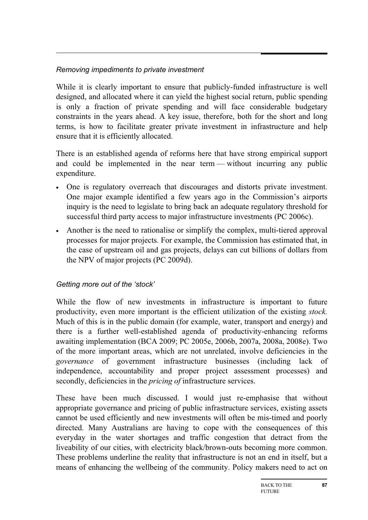#### *Removing impediments to private investment*

While it is clearly important to ensure that publicly-funded infrastructure is well designed, and allocated where it can yield the highest social return, public spending is only a fraction of private spending and will face considerable budgetary constraints in the years ahead. A key issue, therefore, both for the short and long terms, is how to facilitate greater private investment in infrastructure and help ensure that it is efficiently allocated.

There is an established agenda of reforms here that have strong empirical support and could be implemented in the near term — without incurring any public expenditure.

- One is regulatory overreach that discourages and distorts private investment. One major example identified a few years ago in the Commission's airports inquiry is the need to legislate to bring back an adequate regulatory threshold for successful third party access to major infrastructure investments (PC 2006c).
- Another is the need to rationalise or simplify the complex, multi-tiered approval processes for major projects. For example, the Commission has estimated that, in the case of upstream oil and gas projects, delays can cut billions of dollars from the NPV of major projects (PC 2009d).

#### *Getting more out of the 'stock'*

While the flow of new investments in infrastructure is important to future productivity, even more important is the efficient utilization of the existing *stock.*  Much of this is in the public domain (for example, water, transport and energy) and there is a further well-established agenda of productivity-enhancing reforms awaiting implementation (BCA 2009; PC 2005e, 2006b, 2007a, 2008a, 2008e). Two of the more important areas, which are not unrelated, involve deficiencies in the *governance* of government infrastructure businesses (including lack of independence, accountability and proper project assessment processes) and secondly, deficiencies in the *pricing of* infrastructure services.

These have been much discussed. I would just re-emphasise that without appropriate governance and pricing of public infrastructure services, existing assets cannot be used efficiently and new investments will often be mis-timed and poorly directed. Many Australians are having to cope with the consequences of this everyday in the water shortages and traffic congestion that detract from the liveability of our cities, with electricity black/brown-outs becoming more common. These problems underline the reality that infrastructure is not an end in itself, but a means of enhancing the wellbeing of the community. Policy makers need to act on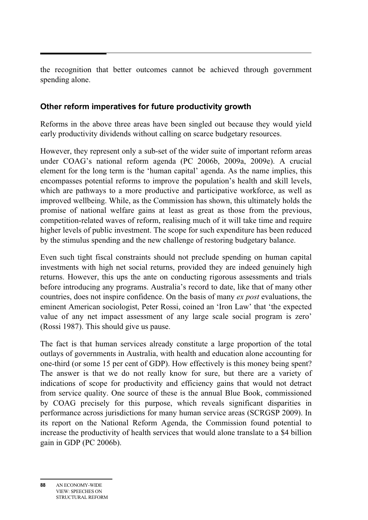the recognition that better outcomes cannot be achieved through government spending alone.

#### **Other reform imperatives for future productivity growth**

Reforms in the above three areas have been singled out because they would yield early productivity dividends without calling on scarce budgetary resources.

However, they represent only a sub-set of the wider suite of important reform areas under COAG's national reform agenda (PC 2006b, 2009a, 2009e). A crucial element for the long term is the 'human capital' agenda. As the name implies, this encompasses potential reforms to improve the population's health and skill levels, which are pathways to a more productive and participative workforce, as well as improved wellbeing. While, as the Commission has shown, this ultimately holds the promise of national welfare gains at least as great as those from the previous, competition-related waves of reform, realising much of it will take time and require higher levels of public investment. The scope for such expenditure has been reduced by the stimulus spending and the new challenge of restoring budgetary balance.

Even such tight fiscal constraints should not preclude spending on human capital investments with high net social returns, provided they are indeed genuinely high returns. However, this ups the ante on conducting rigorous assessments and trials before introducing any programs. Australia's record to date, like that of many other countries, does not inspire confidence. On the basis of many *ex post* evaluations, the eminent American sociologist, Peter Rossi, coined an 'Iron Law' that 'the expected value of any net impact assessment of any large scale social program is zero' (Rossi 1987). This should give us pause.

The fact is that human services already constitute a large proportion of the total outlays of governments in Australia, with health and education alone accounting for one-third (or some 15 per cent of GDP). How effectively is this money being spent? The answer is that we do not really know for sure, but there are a variety of indications of scope for productivity and efficiency gains that would not detract from service quality. One source of these is the annual Blue Book, commissioned by COAG precisely for this purpose, which reveals significant disparities in performance across jurisdictions for many human service areas (SCRGSP 2009). In its report on the National Reform Agenda, the Commission found potential to increase the productivity of health services that would alone translate to a \$4 billion gain in GDP (PC 2006b).